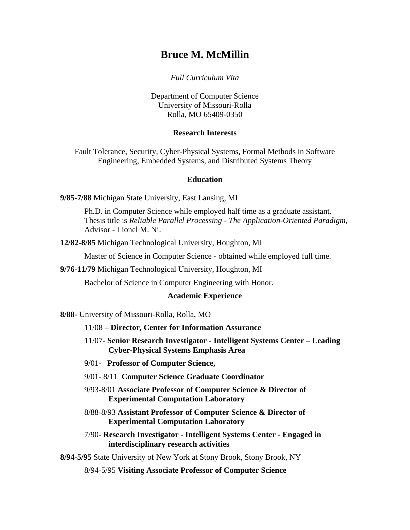*Full Curriculum Vita* 

Department of Computer Science University of Missouri-Rolla Rolla, MO 65409-0350

#### **Research Interests**

Fault Tolerance, Security, Cyber-Physical Systems, Formal Methods in Software Engineering, Embedded Systems, and Distributed Systems Theory

#### **Education**

**9/85-7/88** Michigan State University, East Lansing, MI

Ph.D. in Computer Science while employed half time as a graduate assistant. Thesis title is *Reliable Parallel Processing - The Application-Oriented Paradigm*, Advisor - Lionel M. Ni.

**12/82-8/85** Michigan Technological University, Houghton, MI

Master of Science in Computer Science - obtained while employed full time.

**9/76-11/79** Michigan Technological University, Houghton, MI

Bachelor of Science in Computer Engineering with Honor.

#### **Academic Experience**

**8/88-** University of Missouri-Rolla, Rolla, MO

- 11/08 **Director, Center for Information Assurance**
- 11/07**- Senior Research Investigator Intelligent Systems Center Leading Cyber-Physical Systems Emphasis Area**
- 9/01- **Professor of Computer Science,**
- 9/01- 8/11 **Computer Science Graduate Coordinator**
- 9/93**-**8/01 **Associate Professor of Computer Science & Director of Experimental Computation Laboratory**
- 8/88-8/93 **Assistant Professor of Computer Science & Director of Experimental Computation Laboratory**

7/90**- Research Investigator - Intelligent Systems Center - Engaged in interdisciplinary research activities**

**8/94-5/95** State University of New York at Stony Brook, Stony Brook, NY

8/94-5/95 **Visiting Associate Professor of Computer Science**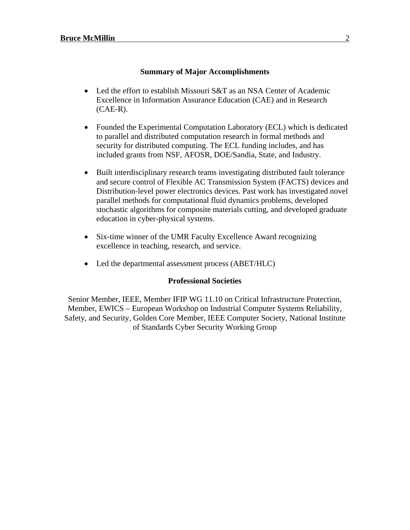#### **Summary of Major Accomplishments**

- Led the effort to establish Missouri S&T as an NSA Center of Academic Excellence in Information Assurance Education (CAE) and in Research (CAE-R).
- Founded the Experimental Computation Laboratory (ECL) which is dedicated to parallel and distributed computation research in formal methods and security for distributed computing. The ECL funding includes, and has included grants from NSF, AFOSR, DOE/Sandia, State, and Industry.
- Built interdisciplinary research teams investigating distributed fault tolerance and secure control of Flexible AC Transmission System (FACTS) devices and Distribution-level power electronics devices. Past work has investigated novel parallel methods for computational fluid dynamics problems, developed stochastic algorithms for composite materials cutting, and developed graduate education in cyber-physical systems.
- Six-time winner of the UMR Faculty Excellence Award recognizing excellence in teaching, research, and service.
- Led the departmental assessment process (ABET/HLC)

#### **Professional Societies**

Senior Member, IEEE, Member IFIP WG 11.10 on Critical Infrastructure Protection, Member, EWICS – European Workshop on Industrial Computer Systems Reliability, Safety, and Security, Golden Core Member, IEEE Computer Society, National Institute of Standards Cyber Security Working Group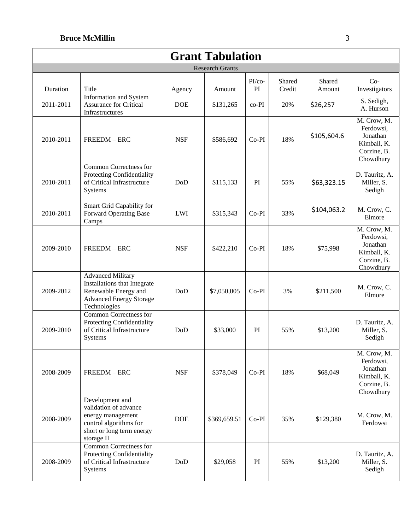| <b>Grant Tabulation</b> |                                                                                                                                    |            |                        |                    |                  |                  |                                                                                 |
|-------------------------|------------------------------------------------------------------------------------------------------------------------------------|------------|------------------------|--------------------|------------------|------------------|---------------------------------------------------------------------------------|
|                         |                                                                                                                                    |            | <b>Research Grants</b> |                    |                  |                  |                                                                                 |
| Duration                | Title                                                                                                                              | Agency     | Amount                 | $PI$ / $co-$<br>PI | Shared<br>Credit | Shared<br>Amount | $Co-$<br>Investigators                                                          |
| 2011-2011               | Information and System<br><b>Assurance for Critical</b><br>Infrastructures                                                         | <b>DOE</b> | \$131,265              | $co-PI$            | 20%              | \$26,257         | S. Sedigh,<br>A. Hurson                                                         |
| 2010-2011               | FREEDM - ERC                                                                                                                       | <b>NSF</b> | \$586,692              | $Co-PI$            | 18%              | \$105,604.6      | M. Crow, M.<br>Ferdowsi,<br>Jonathan<br>Kimball, K.<br>Corzine, B.<br>Chowdhury |
| 2010-2011               | Common Correctness for<br>Protecting Confidentiality<br>of Critical Infrastructure<br>Systems                                      | DoD        | \$115,133              | PI                 | 55%              | \$63,323.15      | D. Tauritz, A.<br>Miller, S.<br>Sedigh                                          |
| 2010-2011               | Smart Grid Capability for<br><b>Forward Operating Base</b><br>Camps                                                                | LWI        | \$315,343              | $Co-PI$            | 33%              | \$104,063.2      | M. Crow, C.<br>Elmore                                                           |
| 2009-2010               | FREEDM - ERC                                                                                                                       | <b>NSF</b> | \$422,210              | $Co-PI$            | 18%              | \$75,998         | M. Crow, M.<br>Ferdowsi,<br>Jonathan<br>Kimball, K.<br>Corzine, B.<br>Chowdhury |
| 2009-2012               | <b>Advanced Military</b><br>Installations that Integrate<br>Renewable Energy and<br><b>Advanced Energy Storage</b><br>Technologies | DoD        | \$7,050,005            | $Co-PI$            | 3%               | \$211,500        | M. Crow, C.<br>Elmore                                                           |
| 2009-2010               | Common Correctness for<br>Protecting Confidentiality<br>of Critical Infrastructure<br>Systems                                      | DoD        | \$33,000               | PI                 | 55%              | \$13,200         | D. Tauritz, A.<br>Miller, S.<br>Sedigh                                          |
| 2008-2009               | FREEDM-ERC                                                                                                                         | <b>NSF</b> | \$378,049              | $Co-PI$            | 18%              | \$68,049         | M. Crow, M.<br>Ferdowsi,<br>Jonathan<br>Kimball, K.<br>Corzine, B.<br>Chowdhury |
| 2008-2009               | Development and<br>validation of advance<br>energy management<br>control algorithms for<br>short or long term energy<br>storage II | <b>DOE</b> | \$369,659.51           | $Co-PI$            | 35%              | \$129,380        | M. Crow, M.<br>Ferdowsi                                                         |
| 2008-2009               | Common Correctness for<br>Protecting Confidentiality<br>of Critical Infrastructure<br>Systems                                      | DoD        | \$29,058               | PI                 | 55%              | \$13,200         | D. Tauritz, A.<br>Miller, S.<br>Sedigh                                          |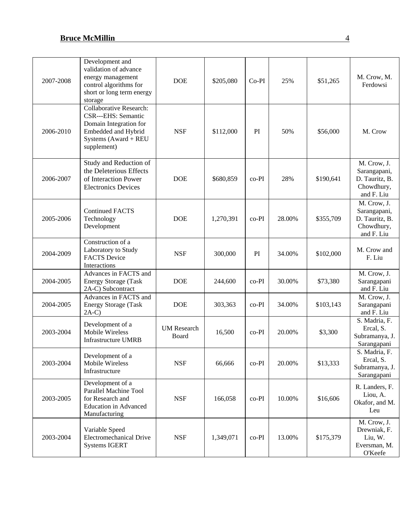| 2007-2008 | Development and<br>validation of advance<br>energy management<br>control algorithms for<br>short or long term energy<br>storage               | <b>DOE</b>                  | \$205,080 | $Co-PI$ | 25%    | \$51,265  | M. Crow, M.<br>Ferdowsi                                                   |
|-----------|-----------------------------------------------------------------------------------------------------------------------------------------------|-----------------------------|-----------|---------|--------|-----------|---------------------------------------------------------------------------|
| 2006-2010 | <b>Collaborative Research:</b><br>CSR---EHS: Semantic<br>Domain Integration for<br>Embedded and Hybrid<br>Systems (Award + REU<br>supplement) | <b>NSF</b>                  | \$112,000 | PI      | 50%    | \$56,000  | M. Crow                                                                   |
| 2006-2007 | Study and Reduction of<br>the Deleterious Effects<br>of Interaction Power<br><b>Electronics Devices</b>                                       | <b>DOE</b>                  | \$680,859 | $co-PI$ | 28%    | \$190,641 | M. Crow, J.<br>Sarangapani,<br>D. Tauritz, B.<br>Chowdhury,<br>and F. Liu |
| 2005-2006 | <b>Continued FACTS</b><br>Technology<br>Development                                                                                           | <b>DOE</b>                  | 1,270,391 | $co-PI$ | 28.00% | \$355,709 | M. Crow, J.<br>Sarangapani,<br>D. Tauritz, B.<br>Chowdhury,<br>and F. Liu |
| 2004-2009 | Construction of a<br>Laboratory to Study<br><b>FACTS</b> Device<br>Interactions                                                               | <b>NSF</b>                  | 300,000   | PI      | 34.00% | \$102,000 | M. Crow and<br>F. Liu                                                     |
| 2004-2005 | Advances in FACTS and<br><b>Energy Storage (Task</b><br>2A-C) Subcontract                                                                     | <b>DOE</b>                  | 244,600   | $co-PI$ | 30.00% | \$73,380  | M. Crow, J.<br>Sarangapani<br>and F. Liu                                  |
| 2004-2005 | Advances in FACTS and<br><b>Energy Storage (Task</b><br>$2A-C$                                                                                | <b>DOE</b>                  | 303,363   | $co-PI$ | 34.00% | \$103,143 | M. Crow, J.<br>Sarangapani<br>and F. Liu                                  |
| 2003-2004 | Development of a<br>Mobile Wireless<br><b>Infrastructure UMRB</b>                                                                             | <b>UM</b> Research<br>Board | 16,500    | $co-PI$ | 20.00% | \$3,300   | S. Madria, F.<br>Ercal, S.<br>Subramanya, J.<br>Sarangapani               |
| 2003-2004 | Development of a<br>Mobile Wireless<br>Infrastructure                                                                                         | <b>NSF</b>                  | 66,666    | co-PI   | 20.00% | \$13,333  | S. Madria, F.<br>Ercal, S.<br>Subramanya, J.<br>Sarangapani               |
| 2003-2005 | Development of a<br>Parallel Machine Tool<br>for Research and<br><b>Education</b> in Advanced<br>Manufacturing                                | <b>NSF</b>                  | 166,058   | co-PI   | 10.00% | \$16,606  | R. Landers, F.<br>Liou, A.<br>Okafor, and M.<br>Leu                       |
| 2003-2004 | Variable Speed<br><b>Electromechanical Drive</b><br><b>Systems IGERT</b>                                                                      | <b>NSF</b>                  | 1,349,071 | $co-PI$ | 13.00% | \$175,379 | M. Crow, J.<br>Drewniak, F.<br>Liu, W.<br>Eversman, M.<br>O'Keefe         |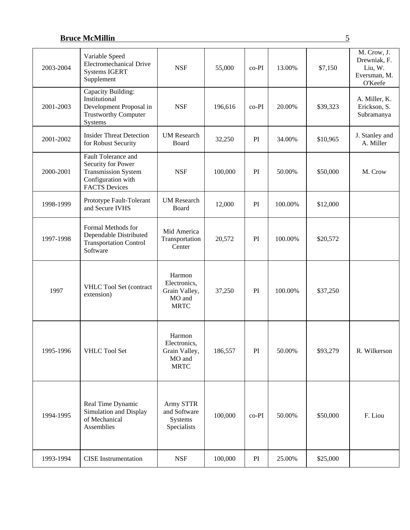|           | Real Time Dynamic                                                                                                     | Army STTR                                                        |         |       |         |          |                                                                   |
|-----------|-----------------------------------------------------------------------------------------------------------------------|------------------------------------------------------------------|---------|-------|---------|----------|-------------------------------------------------------------------|
| 1995-1996 | VHLC Tool Set                                                                                                         | Harmon<br>Electronics,<br>Grain Valley,<br>MO and<br><b>MRTC</b> | 186,557 | PI    | 50.00%  | \$93,279 | R. Wilkerson                                                      |
| 1997      | VHLC Tool Set (contract<br>extension)                                                                                 | Harmon<br>Electronics,<br>Grain Valley,<br>MO and<br><b>MRTC</b> | 37,250  | PI    | 100.00% | \$37,250 |                                                                   |
| 1997-1998 | Formal Methods for<br>Dependable Distributed<br><b>Transportation Control</b><br>Software                             | Mid America<br>Transportation<br>Center                          | 20,572  | PI    | 100.00% | \$20,572 |                                                                   |
| 1998-1999 | Prototype Fault-Tolerant<br>and Secure IVHS                                                                           | <b>UM</b> Research<br>Board                                      | 12,000  | PI    | 100.00% | \$12,000 |                                                                   |
| 2000-2001 | Fault Tolerance and<br>Security for Power<br><b>Transmission System</b><br>Configuration with<br><b>FACTS Devices</b> | <b>NSF</b>                                                       | 100,000 | PI    | 50.00%  | \$50,000 | M. Crow                                                           |
| 2001-2002 | <b>Insider Threat Detection</b><br>for Robust Security                                                                | <b>UM</b> Research<br>Board                                      | 32,250  | PI    | 34.00%  | \$10,965 | J. Stanley and<br>A. Miller                                       |
| 2001-2003 | Capacity Building:<br>Institutional<br>Development Proposal in<br><b>Trustworthy Computer</b><br>Systems              | <b>NSF</b>                                                       | 196,616 | co-PI | 20.00%  | \$39,323 | A. Miller, K.<br>Erickson, S.<br>Subramanya                       |
| 2003-2004 | Variable Speed<br><b>Electromechanical Drive</b><br><b>Systems IGERT</b><br>Supplement                                | <b>NSF</b>                                                       | 55,000  | co-PI | 13.00%  | \$7,150  | M. Crow, J.<br>Drewniak, F.<br>Liu, W.<br>Eversman, M.<br>O'Keefe |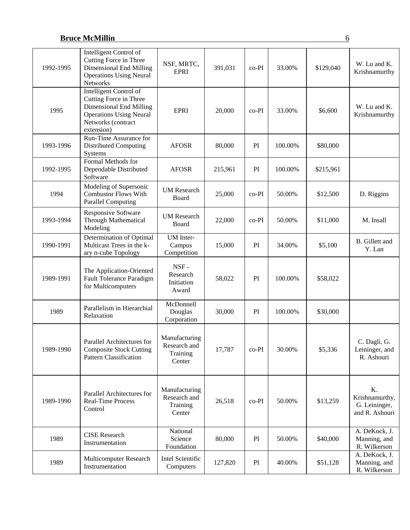| 1992-1995 | Intelligent Control of<br>Cutting Force in Three<br><b>Dimensional End Milling</b><br><b>Operations Using Neural</b><br>Networks                  | NSF, MRTC,<br><b>EPRI</b>                           | 391,031 | $co-PI$ | 33.00%  | \$129,040 | W. Lu and K.<br>Krishnamurthy                           |
|-----------|---------------------------------------------------------------------------------------------------------------------------------------------------|-----------------------------------------------------|---------|---------|---------|-----------|---------------------------------------------------------|
| 1995      | Intelligent Control of<br>Cutting Force in Three<br>Dimensional End Milling<br><b>Operations Using Neural</b><br>Networks (contract<br>extension) | <b>EPRI</b>                                         | 20,000  | co-PI   | 33.00%  | \$6,600   | W. Lu and K.<br>Krishnamurthy                           |
| 1993-1996 | Run-Time Assurance for<br><b>Distributed Computing</b><br>Systems                                                                                 | <b>AFOSR</b>                                        | 80,000  | PI      | 100.00% | \$80,000  |                                                         |
| 1992-1995 | Formal Methods for<br>Dependable Distributed<br>Software                                                                                          | <b>AFOSR</b>                                        | 215,961 | PI      | 100.00% | \$215,961 |                                                         |
| 1994      | Modeling of Supersonic<br><b>Combustor Flows With</b><br><b>Parallel Computing</b>                                                                | <b>UM Research</b><br>Board                         | 25,000  | $co-PI$ | 50.00%  | \$12,500  | D. Riggins                                              |
| 1993-1994 | <b>Responsive Software</b><br><b>Through Mathematical</b><br>Modeling                                                                             | <b>UM</b> Research<br>Board                         | 22,000  | $co-PI$ | 50.00%  | \$11,000  | M. Insall                                               |
| 1990-1991 | Determination of Optimal<br>Multicast Trees in the k-<br>ary n-cube Topology                                                                      | <b>UM</b> Inter-<br>Campus<br>Competition           | 15,000  | PI      | 34.00%  | \$5,100   | <b>B.</b> Gillett and<br>Y. Lan                         |
| 1989-1991 | The Application-Oriented<br>Fault Tolerance Paradigm<br>for Multicomputers                                                                        | NSF-<br>Research<br>Initiation<br>Award             | 58,022  | PI      | 100.00% | \$58,022  |                                                         |
| 1989      | Parallelism in Hierarchial<br>Relaxation                                                                                                          | McDonnell<br>Douglas<br>Corporation                 | 30,000  | PI      | 100.00% | \$30,000  |                                                         |
| 1989-1990 | Parallel Architectures for<br><b>Composite Stock Cutting</b><br><b>Pattern Classification</b>                                                     | Manufacturing<br>Research and<br>Training<br>Center | 17,787  | $co-PI$ | 30.00%  | \$5,336   | C. Dagli, G.<br>Leininger, and<br>R. Ashouri            |
| 1989-1990 | Parallel Architectures for<br><b>Real-Time Process</b><br>Control                                                                                 | Manufacturing<br>Research and<br>Training<br>Center | 26,518  | co-PI   | 50.00%  | \$13,259  | K.<br>Krishnamurthy,<br>G. Leininger,<br>and R. Ashouri |
| 1989      | <b>CISE</b> Research<br>Instrumentation                                                                                                           | National<br>Science<br>Foundation                   | 80,000  | PI      | 50.00%  | \$40,000  | A. DeKock, J.<br>Manning, and<br>R. Wilkerson           |
| 1989      | Multicomputer Research<br>Instrumentation                                                                                                         | Intel Scientific<br>Computers                       | 127,820 | PI      | 40.00%  | \$51,128  | A. DeKock, J.<br>Manning, and<br>R. Wilkerson           |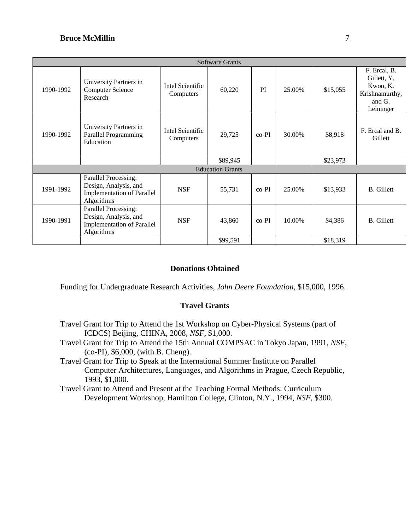|           |                                                                                                  |                               | <b>Software Grants</b>  |         |        |          |                                                                                  |
|-----------|--------------------------------------------------------------------------------------------------|-------------------------------|-------------------------|---------|--------|----------|----------------------------------------------------------------------------------|
| 1990-1992 | University Partners in<br><b>Computer Science</b><br>Research                                    | Intel Scientific<br>Computers | 60,220                  | PI      | 25.00% | \$15,055 | F. Ercal, B.<br>Gillett, Y.<br>Kwon, K.<br>Krishnamurthy,<br>and G.<br>Leininger |
| 1990-1992 | University Partners in<br>Parallel Programming<br>Education                                      | Intel Scientific<br>Computers | 29,725                  | $co-PI$ | 30.00% | \$8,918  | F. Ercal and B.<br>Gillett                                                       |
|           |                                                                                                  |                               | \$89,945                |         |        | \$23,973 |                                                                                  |
|           |                                                                                                  |                               | <b>Education Grants</b> |         |        |          |                                                                                  |
| 1991-1992 | Parallel Processing:<br>Design, Analysis, and<br><b>Implementation of Parallel</b><br>Algorithms | <b>NSF</b>                    | 55,731                  | $co-PI$ | 25.00% | \$13,933 | <b>B.</b> Gillett                                                                |
| 1990-1991 | Parallel Processing:<br>Design, Analysis, and<br><b>Implementation of Parallel</b><br>Algorithms | <b>NSF</b>                    | 43,860                  | $co-PI$ | 10.00% | \$4,386  | <b>B.</b> Gillett                                                                |
|           |                                                                                                  |                               | \$99,591                |         |        | \$18,319 |                                                                                  |

### **Donations Obtained**

Funding for Undergraduate Research Activities, *John Deere Foundation,* \$15,000, 1996.

### **Travel Grants**

- Travel Grant for Trip to Attend the 1st Workshop on Cyber-Physical Systems (part of ICDCS) Beijing, CHINA, 2008, *NSF*, \$1,000.
- Travel Grant for Trip to Attend the 15th Annual COMPSAC in Tokyo Japan, 1991, *NSF*, (co-PI), \$6,000, (with B. Cheng).
- Travel Grant for Trip to Speak at the International Summer Institute on Parallel Computer Architectures, Languages, and Algorithms in Prague, Czech Republic, 1993, \$1,000.
- Travel Grant to Attend and Present at the Teaching Formal Methods: Curriculum Development Workshop, Hamilton College, Clinton, N.Y., 1994, *NSF*, \$300.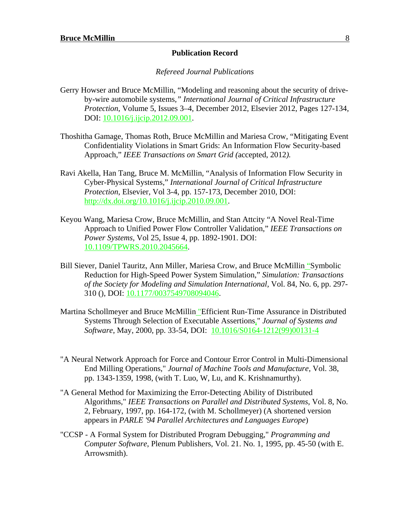#### **Publication Record**

#### *Refereed Journal Publications*

- Gerry Howser and Bruce McMillin, "Modeling and reasoning about the security of driveby-wire automobile systems*," International Journal of Critical Infrastructure Protection*, Volume 5, Issues 3–4, December 2012, Elsevier 2012, Pages 127-134, DOI: 10.1016/j.ijcip.2012.09.001.
- Thoshitha Gamage, Thomas Roth, Bruce McMillin and Mariesa Crow, "Mitigating Event Confidentiality Violations in Smart Grids: An Information Flow Security-based Approach," *IEEE Transactions on Smart Grid (*accepted, 2012*).*
- Ravi Akella, Han Tang, Bruce M. McMillin, "Analysis of Information Flow Security in Cyber-Physical Systems," *International Journal of Critical Infrastructure Protection*, Elsevier, Vol 3-4, pp. 157-173, December 2010, DOI: http://dx.doi.org/10.1016/j.ijcip.2010.09.001.
- Keyou Wang, Mariesa Crow, Bruce McMillin, and Stan Attcity "A Novel Real-Time Approach to Unified Power Flow Controller Validation," *IEEE Transactions on Power Systems,* Vol 25, Issue 4, pp. 1892-1901. DOI: 10.1109/TPWRS.2010.2045664.
- Bill Siever, Daniel Tauritz, Ann Miller, Mariesa Crow, and Bruce McMillin "Symbolic Reduction for High-Speed Power System Simulation," *Simulation: Transactions of the Society for Modeling and Simulation International,* Vol. 84, No. 6, pp. 297- 310 (), DOI: 10.1177/0037549708094046.
- Martina Schollmeyer and Bruce McMillin "Efficient Run-Time Assurance in Distributed Systems Through Selection of Executable Assertions," *Journal of Systems and Software*, May, 2000, pp. 33-54, DOI: 10.1016/S0164-1212(99)00131-4
- "A Neural Network Approach for Force and Contour Error Control in Multi-Dimensional End Milling Operations," *Journal of Machine Tools and Manufacture*, Vol. 38, pp. 1343-1359, 1998, (with T. Luo, W, Lu, and K. Krishnamurthy).
- "A General Method for Maximizing the Error-Detecting Ability of Distributed Algorithms," *IEEE Transactions on Parallel and Distributed Systems*, Vol. 8, No. 2, February, 1997, pp. 164-172, (with M. Schollmeyer) (A shortened version appears in *PARLE '94 Parallel Architectures and Languages Europe*)
- "CCSP A Formal System for Distributed Program Debugging," *Programming and Computer Software*, Plenum Publishers, Vol. 21. No. 1, 1995, pp. 45-50 (with E. Arrowsmith).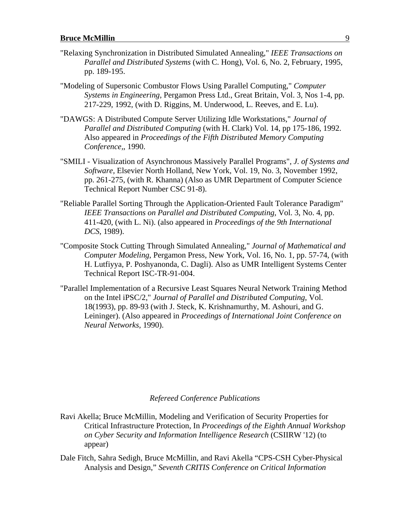- "Relaxing Synchronization in Distributed Simulated Annealing," *IEEE Transactions on Parallel and Distributed Systems* (with C. Hong), Vol. 6, No. 2, February, 1995, pp. 189-195.
- "Modeling of Supersonic Combustor Flows Using Parallel Computing," *Computer Systems in Engineering,* Pergamon Press Ltd., Great Britain, Vol. 3, Nos 1-4, pp. 217-229, 1992, (with D. Riggins, M. Underwood, L. Reeves, and E. Lu).
- "DAWGS: A Distributed Compute Server Utilizing Idle Workstations," *Journal of Parallel and Distributed Computing* (with H. Clark) Vol. 14, pp 175-186, 1992. Also appeared in *Proceedings of the Fifth Distributed Memory Computing Conference,*, 1990.
- "SMILI Visualization of Asynchronous Massively Parallel Programs", *J. of Systems and Software,* Elsevier North Holland, New York, Vol. 19, No. 3, November 1992, pp. 261-275, (with R. Khanna) (Also as UMR Department of Computer Science Technical Report Number CSC 91-8).
- "Reliable Parallel Sorting Through the Application-Oriented Fault Tolerance Paradigm" *IEEE Transactions on Parallel and Distributed Computing*, Vol. 3, No. 4, pp. 411-420, (with L. Ni). (also appeared in *Proceedings of the 9th International DCS*, 1989).
- "Composite Stock Cutting Through Simulated Annealing," *Journal of Mathematical and Computer Modeling*, Pergamon Press, New York, Vol. 16, No. 1, pp. 57-74, (with H. Lutfiyya, P. Poshyanonda, C. Dagli). Also as UMR Intelligent Systems Center Technical Report ISC-TR-91-004.
- "Parallel Implementation of a Recursive Least Squares Neural Network Training Method on the Intel iPSC/2," *Journal of Parallel and Distributed Computing*, Vol. 18(1993), pp. 89-93 (with J. Steck, K. Krishnamurthy, M. Ashouri, and G. Leininger). (Also appeared in *Proceedings of International Joint Conference on Neural Networks,* 1990).

#### *Refereed Conference Publications*

- Ravi Akella; Bruce McMillin, Modeling and Verification of Security Properties for Critical Infrastructure Protection, In *Proceedings of the Eighth Annual Workshop on Cyber Security and Information Intelligence Research* (CSIIRW '12) (to appear)
- Dale Fitch, Sahra Sedigh, Bruce McMillin, and Ravi Akella "CPS-CSH Cyber-Physical Analysis and Design," *Seventh CRITIS Conference on Critical Information*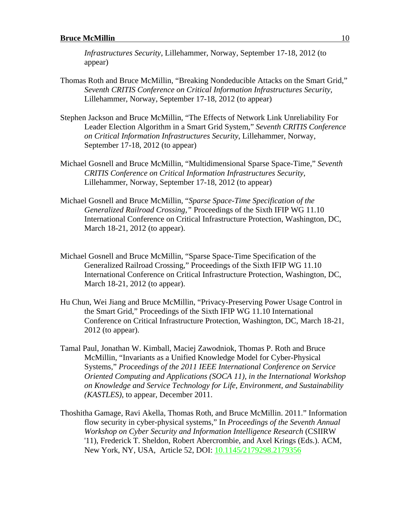*Infrastructures Security*, Lillehammer, Norway, September 17-18, 2012 (to appear)

- Thomas Roth and Bruce McMillin, "Breaking Nondeducible Attacks on the Smart Grid," *Seventh CRITIS Conference on Critical Information Infrastructures Security*, Lillehammer, Norway, September 17-18, 2012 (to appear)
- Stephen Jackson and Bruce McMillin, "The Effects of Network Link Unreliability For Leader Election Algorithm in a Smart Grid System," *Seventh CRITIS Conference on Critical Information Infrastructures Security*, Lillehammer, Norway, September 17-18, 2012 (to appear)
- Michael Gosnell and Bruce McMillin, "Multidimensional Sparse Space-Time," *Seventh CRITIS Conference on Critical Information Infrastructures Security*, Lillehammer, Norway, September 17-18, 2012 (to appear)
- Michael Gosnell and Bruce McMillin, "*Sparse Space-Time Specification of the Generalized Railroad Crossing,"* Proceedings of the Sixth IFIP WG 11.10 International Conference on Critical Infrastructure Protection, Washington, DC, March 18-21, 2012 (to appear).
- Michael Gosnell and Bruce McMillin, "Sparse Space-Time Specification of the Generalized Railroad Crossing," Proceedings of the Sixth IFIP WG 11.10 International Conference on Critical Infrastructure Protection, Washington, DC, March 18-21, 2012 (to appear).
- Hu Chun, Wei Jiang and Bruce McMillin, "Privacy-Preserving Power Usage Control in the Smart Grid," Proceedings of the Sixth IFIP WG 11.10 International Conference on Critical Infrastructure Protection, Washington, DC, March 18-21, 2012 (to appear).
- Tamal Paul, Jonathan W. Kimball, Maciej Zawodniok, Thomas P. Roth and Bruce McMillin, "Invariants as a Unified Knowledge Model for Cyber-Physical Systems," *Proceedings of the 2011 IEEE International Conference on Service Oriented Computing and Applications (SOCA 11), in the International Workshop on Knowledge and Service Technology for Life, Environment, and Sustainability (KASTLES)*, to appear, December 2011.
- Thoshitha Gamage, Ravi Akella, Thomas Roth, and Bruce McMillin. 2011." Information flow security in cyber-physical systems," In *Proceedings of the Seventh Annual Workshop on Cyber Security and Information Intelligence Research* (CSIIRW '11), Frederick T. Sheldon, Robert Abercrombie, and Axel Krings (Eds.). ACM, New York, NY, USA, Article 52, DOI: 10.1145/2179298.2179356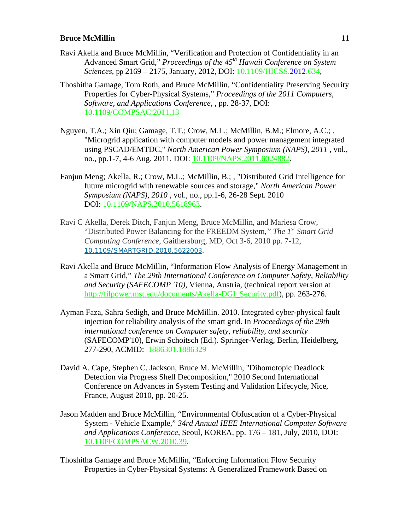- Ravi Akella and Bruce McMillin, "Verification and Protection of Confidentiality in an Advanced Smart Grid," *Proceedings of the 45th Hawaii Conference on System Sciences*, pp 2169 – 2175, January, 2012, DOI: 10.1109/HICSS.2012.634,
- Thoshitha Gamage, Tom Roth, and Bruce McMillin, "Confidentiality Preserving Security Properties for Cyber-Physical Systems," *Proceedings of the 2011 Computers, Software, and Applications Conference*, , pp. 28-37, DOI: 10.1109/COMPSAC.2011.13
- Nguyen, T.A.; Xin Qiu; Gamage, T.T.; Crow, M.L.; McMillin, B.M.; Elmore, A.C.; , "Microgrid application with computer models and power management integrated using PSCAD/EMTDC," *North American Power Symposium (NAPS), 2011* , vol., no., pp.1-7, 4-6 Aug. 2011, DOI: 10.1109/NAPS.2011.6024882.
- Fanjun Meng; Akella, R.; Crow, M.L.; McMillin, B.; , "Distributed Grid Intelligence for future microgrid with renewable sources and storage," *North American Power Symposium (NAPS), 2010* , vol., no., pp.1-6, 26-28 Sept. 2010 DOI: 10.1109/NAPS.2010.5618963.
- Ravi C Akella, Derek Ditch, Fanjun Meng, Bruce McMillin, and Mariesa Crow, "Distributed Power Balancing for the FREEDM System*," The 1st Smart Grid Computing Conference*, Gaithersburg, MD, Oct 3-6, 2010 pp. 7-12, 10.1109/SMARTGRID.2010.5622003.
- Ravi Akella and Bruce McMillin, "Information Flow Analysis of Energy Management in a Smart Grid," *The 29th International Conference on Computer Safety, Reliability and Security (SAFECOMP '10),* Vienna, Austria, (technical report version at http://filpower.mst.edu/documents/Akella-DGI\_Security.pdf), pp. 263-276.
- Ayman Faza, Sahra Sedigh, and Bruce McMillin. 2010. Integrated cyber-physical fault injection for reliability analysis of the smart grid. In *Proceedings of the 29th international conference on Computer safety, reliability, and security* (SAFECOMP'10), Erwin Schoitsch (Ed.). Springer-Verlag, Berlin, Heidelberg, 277-290, ACMID: 1886301.1886329
- David A. Cape, Stephen C. Jackson, Bruce M. McMillin, "Dihomotopic Deadlock Detection via Progress Shell Decomposition," 2010 Second International Conference on Advances in System Testing and Validation Lifecycle, Nice, France, August 2010, pp. 20-25.
- Jason Madden and Bruce McMillin, "Environmental Obfuscation of a Cyber-Physical System - Vehicle Example," *34rd Annual IEEE International Computer Software and Applications Conference*, Seoul, KOREA, pp. 176 – 181, July, 2010, DOI: 10.1109/COMPSACW.2010.39.

Thoshitha Gamage and Bruce McMillin, "Enforcing Information Flow Security Properties in Cyber-Physical Systems: A Generalized Framework Based on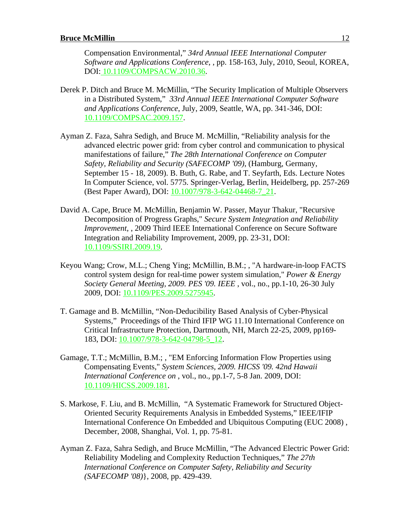Compensation Environmental," *34rd Annual IEEE International Computer Software and Applications Conference*, , pp. 158-163, July, 2010, Seoul, KOREA, DOI: 10.1109/COMPSACW.2010.36.

- Derek P. Ditch and Bruce M. McMillin, "The Security Implication of Multiple Observers in a Distributed System," *33rd Annual IEEE International Computer Software and Applications Conference*, July, 2009, Seattle, WA, pp. 341-346, DOI: 10.1109/COMPSAC.2009.157.
- Ayman Z. Faza, Sahra Sedigh, and Bruce M. McMillin, "Reliability analysis for the advanced electric power grid: from cyber control and communication to physical manifestations of failure," *The 28th International Conference on Computer Safety, Reliability and Security (SAFECOMP '09)*, (Hamburg, Germany, September 15 - 18, 2009). B. Buth, G. Rabe, and T. Seyfarth, Eds. Lecture Notes In Computer Science, vol. 5775. Springer-Verlag, Berlin, Heidelberg, pp. 257-269 (Best Paper Award), DOI: 10.1007/978-3-642-04468-7\_21.
- David A. Cape, Bruce M. McMillin, Benjamin W. Passer, Mayur Thakur, "Recursive Decomposition of Progress Graphs," *Secure System Integration and Reliability Improvement*, , 2009 Third IEEE International Conference on Secure Software Integration and Reliability Improvement, 2009, pp. 23-31, DOI: 10.1109/SSIRI.2009.19.
- Keyou Wang; Crow, M.L.; Cheng Ying; McMillin, B.M.; , "A hardware-in-loop FACTS control system design for real-time power system simulation," *Power & Energy Society General Meeting, 2009. PES '09. IEEE* , vol., no., pp.1-10, 26-30 July 2009, DOI: 10.1109/PES.2009.5275945.
- T. Gamage and B. McMillin, "Non-Deducibility Based Analysis of Cyber-Physical Systems," Proceedings of the Third IFIP WG 11.10 International Conference on Critical Infrastructure Protection, Dartmouth, NH, March 22-25, 2009, pp169- 183, DOI: 10.1007/978-3-642-04798-5\_12.
- Gamage, T.T.; McMillin, B.M.; , "EM Enforcing Information Flow Properties using Compensating Events," *System Sciences, 2009. HICSS '09. 42nd Hawaii International Conference on* , vol., no., pp.1-7, 5-8 Jan. 2009, DOI: 10.1109/HICSS.2009.181.
- S. Markose, F. Liu, and B. McMillin, "A Systematic Framework for Structured Object-Oriented Security Requirements Analysis in Embedded Systems," IEEE/IFIP International Conference On Embedded and Ubiquitous Computing (EUC 2008) , December, 2008, Shanghai, Vol. 1, pp. 75-81.
- Ayman Z. Faza, Sahra Sedigh, and Bruce McMillin, "The Advanced Electric Power Grid: Reliability Modeling and Complexity Reduction Techniques," *The 27th International Conference on Computer Safety, Reliability and Security (SAFECOMP '08)*}, 2008, pp. 429-439.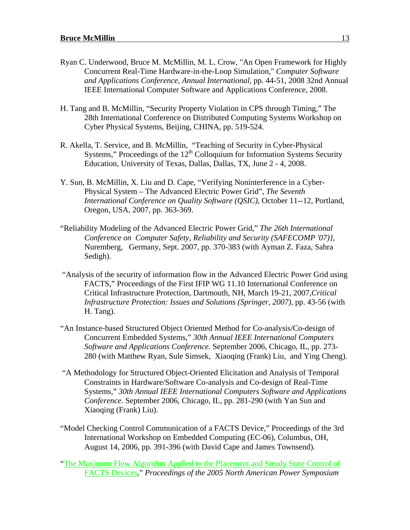- Ryan C. Underwood, Bruce M. McMillin, M. L. Crow, "An Open Framework for Highly Concurrent Real-Time Hardware-in-the-Loop Simulation," *Computer Software and Applications Conference, Annual International*, pp. 44-51, 2008 32nd Annual IEEE International Computer Software and Applications Conference, 2008.
- H. Tang and B. McMillin, "Security Property Violation in CPS through Timing," The 28th International Conference on Distributed Computing Systems Workshop on Cyber Physical Systems, Beijing, CHINA, pp. 519-524.
- R. Akella, T. Service, and B. McMillin, "Teaching of Security in Cyber-Physical Systems," Proceedings of the  $12<sup>th</sup>$  Colloquium for Information Systems Security Education, University of Texas, Dallas, Dallas, TX, June 2 - 4, 2008.
- Y. Sun, B. McMillin, X. Liu and D. Cape, "Verifying Noninterference in a Cyber-Physical System – The Advanced Electric Power Grid", *The Seventh International Conference on Quality Software (QSIC),* October 11--12, Portland, Oregon, USA, 2007, pp. 363-369.
- "Reliability Modeling of the Advanced Electric Power Grid," *The 26th International Conference on Computer Safety, Reliability and Security (SAFECOMP '07)},* Nuremberg, Germany, Sept. 2007, pp. 370-383 (with Ayman Z. Faza, Sahra Sedigh).
- "Analysis of the security of information flow in the Advanced Electric Power Grid using FACTS," Proceedings of the First IFIP WG 11.10 International Conference on Critical Infrastructure Protection, Dartmouth, NH, March 19-21, 2007,*Critical Infrastructure Protection: Issues and Solutions (Springer, 2007), pp. 43-56 (with* H. Tang).
- "An Instance-based Structured Object Oriented Method for Co-analysis/Co-design of Concurrent Embedded Systems," *30th Annual IEEE International Computers Software and Applications Conference.* September 2006, Chicago, IL, pp. 273- 280 (with Matthew Ryan, Sule Simsek, Xiaoqing (Frank) Liu, and Ying Cheng).
- "A Methodology for Structured Object-Oriented Elicitation and Analysis of Temporal Constraints in Hardware/Software Co-analysis and Co-design of Real-Time Systems," *30th Annual IEEE International Computers Software and Applications Conference.* September 2006, Chicago, IL, pp. 281-290 (with Yan Sun and Xiaoqing (Frank) Liu).
- "Model Checking Control Communication of a FACTS Device," Proceedings of the 3rd International Workshop on Embedded Computing (EC-06), Columbus, OH, August 14, 2006, pp. 391-396 (with David Cape and James Townsend).

"The Maximum Flow Algorithm Applied to the Placement and Steady State Control of FACTS Devices," *Proceedings of the 2005 North American Power Symposium*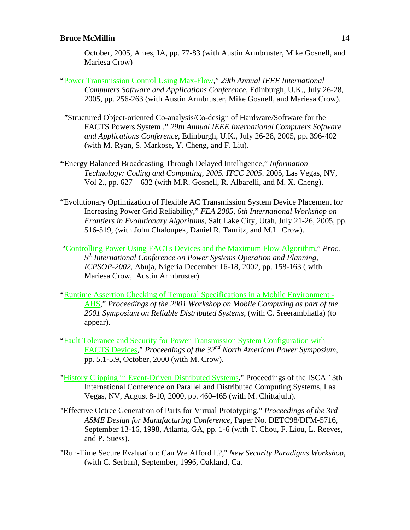October, 2005, Ames, IA, pp. 77-83 (with Austin Armbruster, Mike Gosnell, and Mariesa Crow)

- "Power Transmission Control Using Max-Flow," *29th Annual IEEE International Computers Software and Applications Conference*, Edinburgh, U.K., July 26-28, 2005, pp. 256-263 (with Austin Armbruster, Mike Gosnell, and Mariesa Crow).
- "Structured Object-oriented Co-analysis/Co-design of Hardware/Software for the FACTS Powers System ," *29th Annual IEEE International Computers Software and Applications Conference*, Edinburgh, U.K., July 26-28, 2005, pp. 396-402 (with M. Ryan, S. Markose, Y. Cheng, and F. Liu).
- **"**Energy Balanced Broadcasting Through Delayed Intelligence," *Information Technology: Coding and Computing, 2005. ITCC 2005*. 2005, Las Vegas, NV, Vol 2., pp. 627 – 632 (with M.R. Gosnell, R. Albarelli, and M. X. Cheng).
- "Evolutionary Optimization of Flexible AC Transmission System Device Placement for Increasing Power Grid Reliability," *FEA 2005, 6th International Workshop on Frontiers in Evolutionary Algorithms*, Salt Lake City, Utah, July 21-26, 2005, pp. 516-519, (with John Chaloupek, Daniel R. Tauritz, and M.L. Crow).
- "Controlling Power Using FACTs Devices and the Maximum Flow Algorithm," *Proc. 5th International Conference on Power Systems Operation and Planning, ICPSOP-2002*, Abuja, Nigeria December 16-18, 2002, pp. 158-163 ( with Mariesa Crow, Austin Armbruster)
- "Runtime Assertion Checking of Temporal Specifications in a Mobile Environment AHS," *Proceedings of the 2001 Workshop on Mobile Computing as part of the 2001 Symposium on Reliable Distributed Systems*, (with C. Sreerambhatla) (to appear).
- "Fault Tolerance and Security for Power Transmission System Configuration with FACTS Devices," *Proceedings of the 32nd North American Power Symposium*, pp. 5.1-5.9, October, 2000 (with M. Crow).
- "History Clipping in Event-Driven Distributed Systems," Proceedings of the ISCA 13th International Conference on Parallel and Distributed Computing Systems, Las Vegas, NV, August 8-10, 2000, pp. 460-465 (with M. Chittajulu).
- "Effective Octree Generation of Parts for Virtual Prototyping," *Proceedings of the 3rd ASME Design for Manufacturing Conference*, Paper No. DETC98/DFM-5716, September 13-16, 1998, Atlanta, GA, pp. 1-6 (with T. Chou, F. Liou, L. Reeves, and P. Suess).
- "Run-Time Secure Evaluation: Can We Afford It?," *New Security Paradigms Workshop,* (with C. Serban), September, 1996, Oakland, Ca.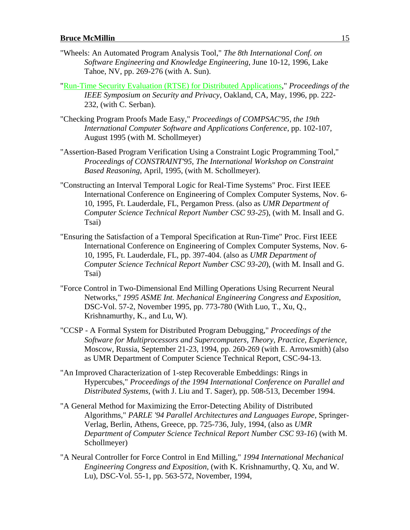- "Wheels: An Automated Program Analysis Tool," *The 8th International Conf. on Software Engineering and Knowledge Engineering,* June 10-12, 1996, Lake Tahoe, NV, pp. 269-276 (with A. Sun).
- "Run-Time Security Evaluation (RTSE) for Distributed Applications," *Proceedings of the IEEE Symposium on Security and Privacy*, Oakland, CA, May, 1996, pp. 222- 232, (with C. Serban).
- "Checking Program Proofs Made Easy," *Proceedings of COMPSAC'95, the 19th International Computer Software and Applications Conference*, pp. 102-107, August 1995 (with M. Schollmeyer)
- "Assertion-Based Program Verification Using a Constraint Logic Programming Tool," *Proceedings of CONSTRAINT'95, The International Workshop on Constraint Based Reasoning*, April, 1995, (with M. Schollmeyer).
- "Constructing an Interval Temporal Logic for Real-Time Systems" Proc. First IEEE International Conference on Engineering of Complex Computer Systems, Nov. 6- 10, 1995, Ft. Lauderdale, FL, Pergamon Press. (also as *UMR Department of Computer Science Technical Report Number CSC 93-25*), (with M. Insall and G. Tsai)
- "Ensuring the Satisfaction of a Temporal Specification at Run-Time" Proc. First IEEE International Conference on Engineering of Complex Computer Systems, Nov. 6- 10, 1995, Ft. Lauderdale, FL, pp. 397-404. (also as *UMR Department of Computer Science Technical Report Number CSC 93-20*), (with M. Insall and G. Tsai)
- "Force Control in Two-Dimensional End Milling Operations Using Recurrent Neural Networks," *1995 ASME Int. Mechanical Engineering Congress and Exposition*, DSC-Vol. 57-2, November 1995, pp. 773-780 (With Luo, T., Xu, Q., Krishnamurthy, K., and Lu, W).
- "CCSP A Formal System for Distributed Program Debugging," *Proceedings of the Software for Multiprocessors and Supercomputers, Theory, Practice, Experience,* Moscow, Russia, September 21-23, 1994, pp. 260-269 (with E. Arrowsmith) (also as UMR Department of Computer Science Technical Report, CSC-94-13.
- "An Improved Characterization of 1-step Recoverable Embeddings: Rings in Hypercubes," *Proceedings of the 1994 International Conference on Parallel and Distributed Systems,* (with J. Liu and T. Sager), pp. 508-513, December 1994.
- "A General Method for Maximizing the Error-Detecting Ability of Distributed Algorithms," *PARLE '94 Parallel Architectures and Languages Europe*, Springer-Verlag, Berlin, Athens, Greece, pp. 725-736, July, 1994, (also as *UMR Department of Computer Science Technical Report Number CSC 93-16*) (with M. Schollmeyer)
- "A Neural Controller for Force Control in End Milling," *1994 International Mechanical Engineering Congress and Exposition,* (with K. Krishnamurthy, Q. Xu, and W. Lu), DSC-Vol. 55-1, pp. 563-572, November, 1994,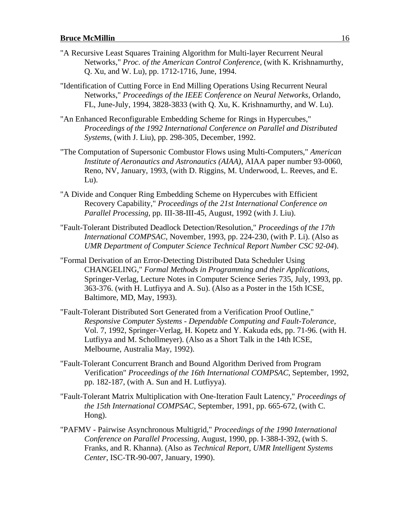- "A Recursive Least Squares Training Algorithm for Multi-layer Recurrent Neural Networks," *Proc. of the American Control Conference,* (with K. Krishnamurthy, Q. Xu, and W. Lu), pp. 1712-1716, June, 1994.
- "Identification of Cutting Force in End Milling Operations Using Recurrent Neural Networks," *Proceedings of the IEEE Conference on Neural Networks,* Orlando, FL, June-July, 1994, 3828-3833 (with Q. Xu, K. Krishnamurthy, and W. Lu).
- "An Enhanced Reconfigurable Embedding Scheme for Rings in Hypercubes," *Proceedings of the 1992 International Conference on Parallel and Distributed Systems,* (with J. Liu), pp. 298-305, December, 1992.
- "The Computation of Supersonic Combustor Flows using Multi-Computers," *American Institute of Aeronautics and Astronautics (AIAA)*, AIAA paper number 93-0060, Reno, NV, January, 1993, (with D. Riggins, M. Underwood, L. Reeves, and E. Lu).
- "A Divide and Conquer Ring Embedding Scheme on Hypercubes with Efficient Recovery Capability," *Proceedings of the 21st International Conference on Parallel Processing,* pp. III-38-III-45, August, 1992 (with J. Liu).
- "Fault-Tolerant Distributed Deadlock Detection/Resolution," *Proceedings of the 17th International COMPSAC*, November, 1993, pp. 224-230, (with P. Li). (Also as *UMR Department of Computer Science Technical Report Number CSC 92-04*).
- "Formal Derivation of an Error-Detecting Distributed Data Scheduler Using CHANGELING," *Formal Methods in Programming and their Applications,* Springer-Verlag, Lecture Notes in Computer Science Series 735, July, 1993, pp. 363-376. (with H. Lutfiyya and A. Su). (Also as a Poster in the 15th ICSE, Baltimore, MD, May, 1993).
- "Fault-Tolerant Distributed Sort Generated from a Verification Proof Outline," *Responsive Computer Systems - Dependable Computing and Fault-Tolerance,* Vol. 7, 1992, Springer-Verlag, H. Kopetz and Y. Kakuda eds, pp. 71-96. (with H. Lutfiyya and M. Schollmeyer). (Also as a Short Talk in the 14th ICSE, Melbourne, Australia May, 1992).
- "Fault-Tolerant Concurrent Branch and Bound Algorithm Derived from Program Verification" *Proceedings of the 16th International COMPSAC*, September, 1992, pp. 182-187, (with A. Sun and H. Lutfiyya).
- "Fault-Tolerant Matrix Multiplication with One-Iteration Fault Latency," *Proceedings of the 15th International COMPSAC*, September, 1991, pp. 665-672, (with C. Hong).
- "PAFMV Pairwise Asynchronous Multigrid," *Proceedings of the 1990 International Conference on Parallel Processing,* August, 1990, pp. I-388-I-392, (with S. Franks, and R. Khanna). (Also as *Technical Report, UMR Intelligent Systems Center*, ISC-TR-90-007, January, 1990).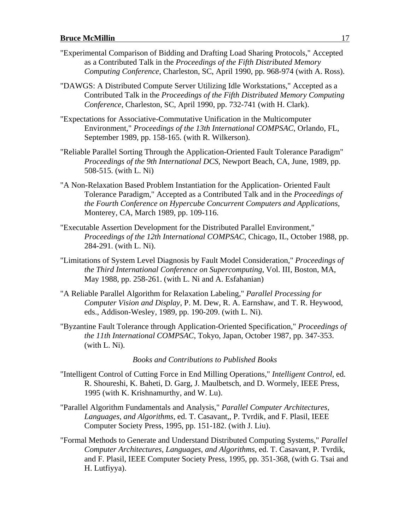- "Experimental Comparison of Bidding and Drafting Load Sharing Protocols," Accepted as a Contributed Talk in the *Proceedings of the Fifth Distributed Memory Computing Conference,* Charleston, SC, April 1990, pp. 968-974 (with A. Ross).
- "DAWGS: A Distributed Compute Server Utilizing Idle Workstations," Accepted as a Contributed Talk in the *Proceedings of the Fifth Distributed Memory Computing Conference,* Charleston, SC, April 1990, pp. 732-741 (with H. Clark).
- "Expectations for Associative-Commutative Unification in the Multicomputer Environment," *Proceedings of the 13th International COMPSAC*, Orlando, FL, September 1989, pp. 158-165. (with R. Wilkerson).
- "Reliable Parallel Sorting Through the Application-Oriented Fault Tolerance Paradigm" *Proceedings of the 9th International DCS*, Newport Beach, CA, June, 1989, pp. 508-515. (with L. Ni)
- "A Non-Relaxation Based Problem Instantiation for the Application- Oriented Fault Tolerance Paradigm," Accepted as a Contributed Talk and in the *Proceedings of the Fourth Conference on Hypercube Concurrent Computers and Applications,* Monterey, CA, March 1989, pp. 109-116.
- "Executable Assertion Development for the Distributed Parallel Environment," *Proceedings of the 12th International COMPSAC*, Chicago, IL, October 1988, pp. 284-291. (with L. Ni).
- "Limitations of System Level Diagnosis by Fault Model Consideration," *Proceedings of the Third International Conference on Supercomputing*, Vol. III, Boston, MA, May 1988, pp. 258-261. (with L. Ni and A. Esfahanian)
- "A Reliable Parallel Algorithm for Relaxation Labeling," *Parallel Processing for Computer Vision and Display*, P. M. Dew, R. A. Earnshaw, and T. R. Heywood, eds., Addison-Wesley, 1989, pp. 190-209. (with L. Ni).
- "Byzantine Fault Tolerance through Application-Oriented Specification," *Proceedings of the 11th International COMPSAC*, Tokyo, Japan, October 1987, pp. 347-353. (with L. Ni).

#### *Books and Contributions to Published Books*

- "Intelligent Control of Cutting Force in End Milling Operations," *Intelligent Control,* ed. R. Shoureshi, K. Baheti, D. Garg, J. Maulbetsch, and D. Wormely, IEEE Press, 1995 (with K. Krishnamurthy, and W. Lu).
- "Parallel Algorithm Fundamentals and Analysis," *Parallel Computer Architectures, Languages, and Algorithms,* ed. T. Casavant,, P. Tvrdik, and F. Plasil, IEEE Computer Society Press, 1995, pp. 151-182. (with J. Liu).
- "Formal Methods to Generate and Understand Distributed Computing Systems," *Parallel Computer Architectures, Languages, and Algorithms,* ed. T. Casavant, P. Tvrdik, and F. Plasil, IEEE Computer Society Press, 1995, pp. 351-368, (with G. Tsai and H. Lutfiyya).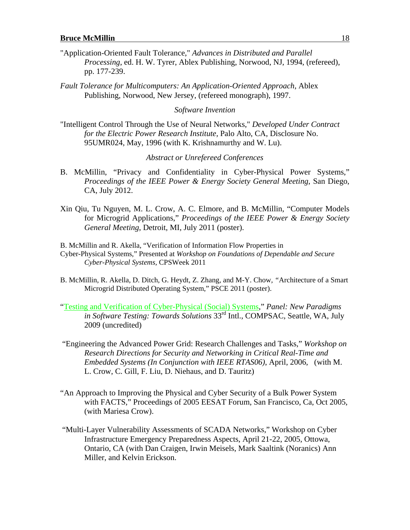- "Application-Oriented Fault Tolerance," *Advances in Distributed and Parallel Processing*, ed. H. W. Tyrer, Ablex Publishing, Norwood, NJ, 1994, (refereed), pp. 177-239.
- *Fault Tolerance for Multicomputers: An Application-Oriented Approach*, Ablex Publishing, Norwood, New Jersey, (refereed monograph), 1997.

#### *Software Invention*

"Intelligent Control Through the Use of Neural Networks," *Developed Under Contract for the Electric Power Research Institute,* Palo Alto, CA, Disclosure No. 95UMR024, May, 1996 (with K. Krishnamurthy and W. Lu).

#### *Abstract or Unrefereed Conferences*

- B. McMillin, "Privacy and Confidentiality in Cyber-Physical Power Systems," *Proceedings of the IEEE Power & Energy Society General Meeting*, San Diego, CA, July 2012.
- Xin Qiu, Tu Nguyen, M. L. Crow, A. C. Elmore, and B. McMillin, "Computer Models for Microgrid Applications," *Proceedings of the IEEE Power & Energy Society General Meeting*, Detroit, MI, July 2011 (poster).

B. McMillin and R. Akella, "Verification of Information Flow Properties in Cyber-Physical Systems," Presented at *Workshop on Foundations of Dependable and Secure Cyber-Physical Systems,* CPSWeek 2011

- B. McMillin, R. Akella, D. Ditch*,* G. Heydt, Z. Zhang*,* and M-Y. Chow*, "*Architecture of a Smart Microgrid Distributed Operating System," PSCE 2011 (poster).
- "Testing and Verification of Cyber-Physical (Social) Systems," *Panel: New Paradigms in Software Testing: Towards Solutions* 33<sup>rd</sup> Intl., COMPSAC, Seattle, WA, July 2009 (uncredited)
- "Engineering the Advanced Power Grid: Research Challenges and Tasks," *Workshop on Research Directions for Security and Networking in Critical Real-Time and Embedded Systems (In Conjunction with IEEE RTAS06)*, April, 2006, (with M. L. Crow, C. Gill, F. Liu, D. Niehaus, and D. Tauritz)
- "An Approach to Improving the Physical and Cyber Security of a Bulk Power System with FACTS," Proceedings of 2005 EESAT Forum, San Francisco, Ca, Oct 2005, (with Mariesa Crow).
- "Multi-Layer Vulnerability Assessments of SCADA Networks," Workshop on Cyber Infrastructure Emergency Preparedness Aspects, April 21-22, 2005, Ottowa, Ontario, CA (with Dan Craigen, Irwin Meisels, Mark Saaltink (Noranics) Ann Miller, and Kelvin Erickson.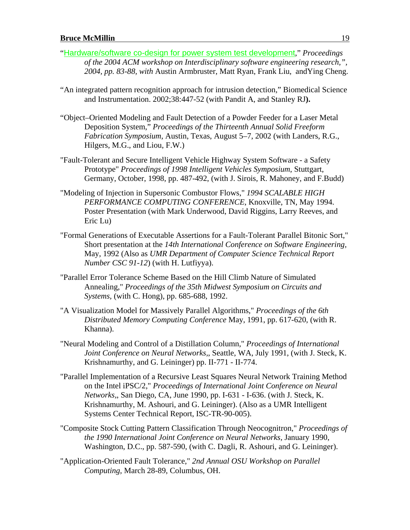- "Hardware/software co-design for power system test development," *Proceedings of the 2004 ACM workshop on Interdisciplinary software engineering research,", 2004, pp. 83-88, with* Austin Armbruster, Matt Ryan, Frank Liu, andYing Cheng.
- "An integrated pattern recognition approach for intrusion detection," Biomedical Science and Instrumentation. 2002;38:447-52 (with Pandit A, and Stanley RJ**).**
- "Object–Oriented Modeling and Fault Detection of a Powder Feeder for a Laser Metal Deposition System," *Proceedings of the Thirteenth Annual Solid Freeform Fabrication Symposium*, Austin, Texas, August 5–7, 2002 (with Landers, R.G., Hilgers, M.G., and Liou, F.W.)
- "Fault-Tolerant and Secure Intelligent Vehicle Highway System Software a Safety Prototype" *Proceedings of 1998 Intelligent Vehicles Symposium*, Stuttgart, Germany, October, 1998, pp. 487-492, (with J. Sirois, R. Mahoney, and F.Budd)
- "Modeling of Injection in Supersonic Combustor Flows," *1994 SCALABLE HIGH PERFORMANCE COMPUTING CONFERENCE*, Knoxville, TN, May 1994. Poster Presentation (with Mark Underwood, David Riggins, Larry Reeves, and Eric Lu)
- "Formal Generations of Executable Assertions for a Fault-Tolerant Parallel Bitonic Sort," Short presentation at the *14th International Conference on Software Engineering,* May, 1992 (Also as *UMR Department of Computer Science Technical Report Number CSC 91-12*) (with H. Lutfiyya).
- "Parallel Error Tolerance Scheme Based on the Hill Climb Nature of Simulated Annealing," *Proceedings of the 35th Midwest Symposium on Circuits and Systems,* (with C. Hong), pp. 685-688, 1992.
- "A Visualization Model for Massively Parallel Algorithms," *Proceedings of the 6th Distributed Memory Computing Conference* May, 1991, pp. 617-620, (with R. Khanna).
- "Neural Modeling and Control of a Distillation Column," *Proceedings of International Joint Conference on Neural Networks,*, Seattle, WA, July 1991, (with J. Steck, K. Krishnamurthy, and G. Leininger) pp. II-771 - II-774.
- "Parallel Implementation of a Recursive Least Squares Neural Network Training Method on the Intel iPSC/2," *Proceedings of International Joint Conference on Neural Networks,*, San Diego, CA, June 1990, pp. I-631 - I-636. (with J. Steck, K. Krishnamurthy, M. Ashouri, and G. Leininger). (Also as a UMR Intelligent Systems Center Technical Report, ISC-TR-90-005).
- "Composite Stock Cutting Pattern Classification Through Neocognitron," *Proceedings of the 1990 International Joint Conference on Neural Networks,* January 1990, Washington, D.C., pp. 587-590, (with C. Dagli, R. Ashouri, and G. Leininger).
- "Application-Oriented Fault Tolerance," *2nd Annual OSU Workshop on Parallel Computing,* March 28-89, Columbus, OH.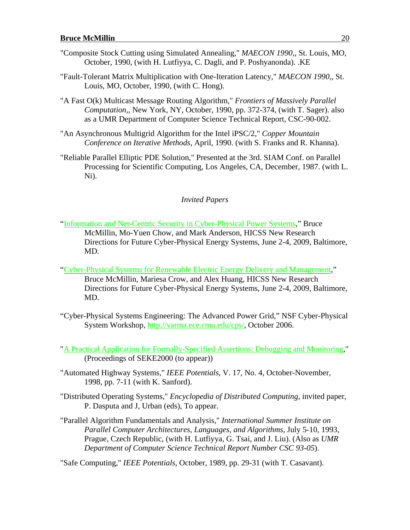- "Composite Stock Cutting using Simulated Annealing," *MAECON 1990,*, St. Louis, MO, October, 1990, (with H. Lutfiyya, C. Dagli, and P. Poshyanonda). .KE
- "Fault-Tolerant Matrix Multiplication with One-Iteration Latency," *MAECON 1990,*, St. Louis, MO, October, 1990, (with C. Hong).
- "A Fast O(k) Multicast Message Routing Algorithm," *Frontiers of Massively Parallel Computation,*, New York, NY, October, 1990, pp. 372-374, (with T. Sager). also as a UMR Department of Computer Science Technical Report, CSC-90-002.
- "An Asynchronous Multigrid Algorithm for the Intel iPSC/2," *Copper Mountain Conference on Iterative Methods*, April, 1990. (with S. Franks and R. Khanna).
- "Reliable Parallel Elliptic PDE Solution," Presented at the 3rd. SIAM Conf. on Parallel Processing for Scientific Computing, Los Angeles, CA, December, 1987. (with L. Ni).

#### *Invited Papers*

- "Information and Net-Centric Security in Cyber-Physical Power Systems," Bruce McMillin, Mo-Yuen Chow, and Mark Anderson, HICSS New Research Directions for Future Cyber-Physical Energy Systems, June 2-4, 2009, Baltimore, MD.
- "Cyber-Physical Systems for Renewable Electric Energy Delivery and Management," Bruce McMillin, Mariesa Crow, and Alex Huang, HICSS New Research Directions for Future Cyber-Physical Energy Systems, June 2-4, 2009, Baltimore, MD.
- "Cyber-Physical Systems Engineering: The Advanced Power Grid," NSF Cyber-Physical System Workshop, http://varma.ece.cmu.edu/cps/, October 2006.
- "A Practical Application for Formally-Specified Assertions: Debugging and Monitoring," (Proceedings of SEKE2000 (to appear))
- "Automated Highway Systems," *IEEE Potentials*, V. 17, No. 4, October-November, 1998, pp. 7-11 (with K. Sanford).
- "Distributed Operating Systems," *Encyclopedia of Distributed Computing*, invited paper, P. Dasputa and J, Urban (eds), To appear.
- "Parallel Algorithm Fundamentals and Analysis," *International Summer Institute on Parallel Computer Architectures, Languages, and Algorithms,* July 5-10, 1993, Prague, Czech Republic, (with H. Lutfiyya, G. Tsai, and J. Liu). (Also as *UMR Department of Computer Science Technical Report Number CSC 93-05*).

"Safe Computing," *IEEE Potentials*, October, 1989, pp. 29-31 (with T. Casavant).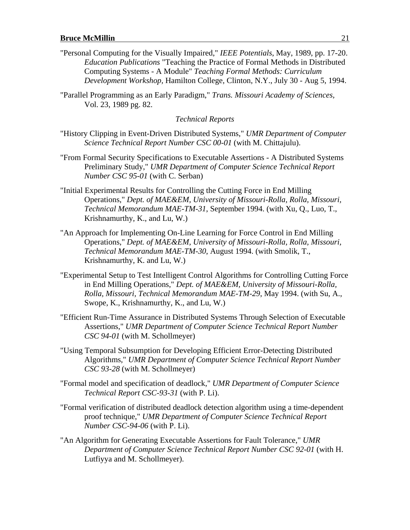- "Personal Computing for the Visually Impaired," *IEEE Potentials*, May, 1989, pp. 17-20. *Education Publications* "Teaching the Practice of Formal Methods in Distributed Computing Systems - A Module" *Teaching Formal Methods: Curriculum Development Workshop,* Hamilton College, Clinton, N.Y., July 30 - Aug 5, 1994.
- "Parallel Programming as an Early Paradigm," *Trans. Missouri Academy of Sciences,* Vol. 23, 1989 pg. 82.

*Technical Reports*

- "History Clipping in Event-Driven Distributed Systems," *UMR Department of Computer Science Technical Report Number CSC 00-01* (with M. Chittajulu).
- "From Formal Security Specifications to Executable Assertions A Distributed Systems Preliminary Study," *UMR Department of Computer Science Technical Report Number CSC 95-01* (with C. Serban)
- "Initial Experimental Results for Controlling the Cutting Force in End Milling Operations," *Dept. of MAE&EM, University of Missouri-Rolla, Rolla, Missouri, Technical Memorandum MAE-TM-31*, September 1994. (with Xu, Q., Luo, T., Krishnamurthy, K., and Lu, W.)
- "An Approach for Implementing On-Line Learning for Force Control in End Milling Operations," *Dept. of MAE&EM, University of Missouri-Rolla, Rolla, Missouri, Technical Memorandum MAE-TM-30*, August 1994. (with Smolik, T., Krishnamurthy, K. and Lu, W.)
- "Experimental Setup to Test Intelligent Control Algorithms for Controlling Cutting Force in End Milling Operations," *Dept. of MAE&EM, University of Missouri-Rolla, Rolla, Missouri, Technical Memorandum MAE-TM-29*, May 1994. (with Su, A., Swope, K., Krishnamurthy, K., and Lu, W.)
- "Efficient Run-Time Assurance in Distributed Systems Through Selection of Executable Assertions," *UMR Department of Computer Science Technical Report Number CSC 94-01* (with M. Schollmeyer)
- "Using Temporal Subsumption for Developing Efficient Error-Detecting Distributed Algorithms," *UMR Department of Computer Science Technical Report Number CSC 93-28* (with M. Schollmeyer)
- "Formal model and specification of deadlock," *UMR Department of Computer Science Technical Report CSC-93-31* (with P. Li).
- "Formal verification of distributed deadlock detection algorithm using a time-dependent proof technique," *UMR Department of Computer Science Technical Report Number CSC-94-06* (with P. Li).
- "An Algorithm for Generating Executable Assertions for Fault Tolerance," *UMR Department of Computer Science Technical Report Number CSC 92-01* (with H. Lutfiyya and M. Schollmeyer).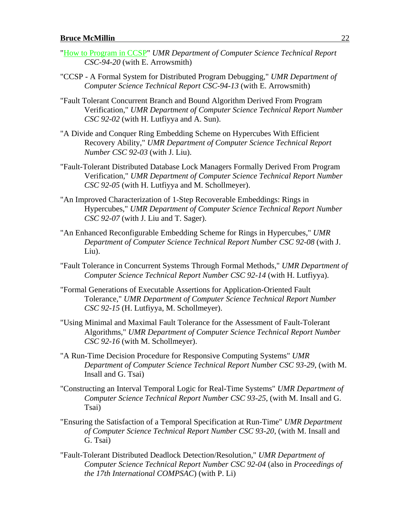- "How to Program in CCSP" *UMR Department of Computer Science Technical Report CSC-94-20* (with E. Arrowsmith)
- "CCSP A Formal System for Distributed Program Debugging," *UMR Department of Computer Science Technical Report CSC-94-13* (with E. Arrowsmith)
- "Fault Tolerant Concurrent Branch and Bound Algorithm Derived From Program Verification," *UMR Department of Computer Science Technical Report Number CSC 92-02* (with H. Lutfiyya and A. Sun).
- "A Divide and Conquer Ring Embedding Scheme on Hypercubes With Efficient Recovery Ability," *UMR Department of Computer Science Technical Report Number CSC 92-03* (with J. Liu).
- "Fault-Tolerant Distributed Database Lock Managers Formally Derived From Program Verification," *UMR Department of Computer Science Technical Report Number CSC 92-05* (with H. Lutfiyya and M. Schollmeyer).
- "An Improved Characterization of 1-Step Recoverable Embeddings: Rings in Hypercubes," *UMR Department of Computer Science Technical Report Number CSC 92-07* (with J. Liu and T. Sager).
- "An Enhanced Reconfigurable Embedding Scheme for Rings in Hypercubes," *UMR Department of Computer Science Technical Report Number CSC 92-08* (with J. Liu).
- "Fault Tolerance in Concurrent Systems Through Formal Methods," *UMR Department of Computer Science Technical Report Number CSC 92-14* (with H. Lutfiyya).
- "Formal Generations of Executable Assertions for Application-Oriented Fault Tolerance," *UMR Department of Computer Science Technical Report Number CSC 92-15* (H. Lutfiyya, M. Schollmeyer).
- "Using Minimal and Maximal Fault Tolerance for the Assessment of Fault-Tolerant Algorithms," *UMR Department of Computer Science Technical Report Number CSC 92-16* (with M. Schollmeyer).
- "A Run-Time Decision Procedure for Responsive Computing Systems" *UMR Department of Computer Science Technical Report Number CSC 93-29*, (with M. Insall and G. Tsai)
- "Constructing an Interval Temporal Logic for Real-Time Systems" *UMR Department of Computer Science Technical Report Number CSC 93-25*, (with M. Insall and G. Tsai)
- "Ensuring the Satisfaction of a Temporal Specification at Run-Time" *UMR Department of Computer Science Technical Report Number CSC 93-20*, (with M. Insall and G. Tsai)
- "Fault-Tolerant Distributed Deadlock Detection/Resolution," *UMR Department of Computer Science Technical Report Number CSC 92-04* (also in *Proceedings of the 17th International COMPSAC*) (with P. Li)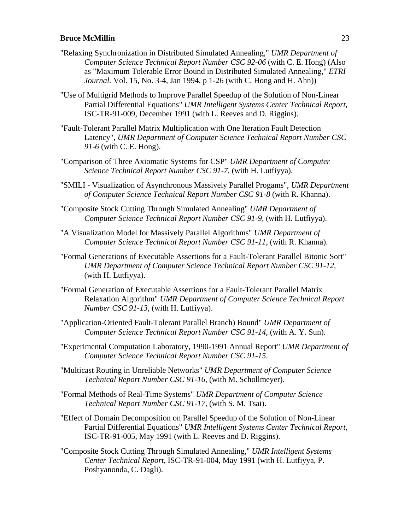- "Relaxing Synchronization in Distributed Simulated Annealing," *UMR Department of Computer Science Technical Report Number CSC 92-06* (with C. E. Hong) (Also as "Maximum Tolerable Error Bound in Distributed Simulated Annealing," *ETRI Journal.* Vol. 15, No. 3-4, Jan 1994, p 1-26 (with C. Hong and H. Ahn))
- "Use of Multigrid Methods to Improve Parallel Speedup of the Solution of Non-Linear Partial Differential Equations" *UMR Intelligent Systems Center Technical Report*, ISC-TR-91-009, December 1991 (with L. Reeves and D. Riggins).
- "Fault-Tolerant Parallel Matrix Multiplication with One Iteration Fault Detection Latency", *UMR Department of Computer Science Technical Report Number CSC 91-6* (with C. E. Hong).
- "Comparison of Three Axiomatic Systems for CSP" *UMR Department of Computer Science Technical Report Number CSC 91-7*, (with H. Lutfiyya).
- "SMILI Visualization of Asynchronous Massively Parallel Progams", *UMR Department of Computer Science Technical Report Number CSC 91-8* (with R. Khanna).
- "Composite Stock Cutting Through Simulated Annealing" *UMR Department of Computer Science Technical Report Number CSC 91-9*, (with H. Lutfiyya).
- "A Visualization Model for Massively Parallel Algorithms" *UMR Department of Computer Science Technical Report Number CSC 91-11*, (with R. Khanna).
- "Formal Generations of Executable Assertions for a Fault-Tolerant Parallel Bitonic Sort" *UMR Department of Computer Science Technical Report Number CSC 91-12*, (with H. Lutfiyya).
- "Formal Generation of Executable Assertions for a Fault-Tolerant Parallel Matrix Relaxation Algorithm" *UMR Department of Computer Science Technical Report Number CSC 91-13*, (with H. Lutfiyya).
- "Application-Oriented Fault-Tolerant Parallel Branch) Bound" *UMR Department of Computer Science Technical Report Number CSC 91-14*, (with A. Y. Sun).
- "Experimental Computation Laboratory, 1990-1991 Annual Report" *UMR Department of Computer Science Technical Report Number CSC 91-15*.
- "Multicast Routing in Unreliable Networks" *UMR Department of Computer Science Technical Report Number CSC 91-16*, (with M. Schollmeyer).
- "Formal Methods of Real-Time Systems" *UMR Department of Computer Science Technical Report Number CSC 91-17*, (with S. M. Tsai).
- "Effect of Domain Decomposition on Parallel Speedup of the Solution of Non-Linear Partial Differential Equations" *UMR Intelligent Systems Center Technical Report*, ISC-TR-91-005, May 1991 (with L. Reeves and D. Riggins).
- "Composite Stock Cutting Through Simulated Annealing," *UMR Intelligent Systems Center Technical Report*, ISC-TR-91-004, May 1991 (with H. Lutfiyya, P. Poshyanonda, C. Dagli).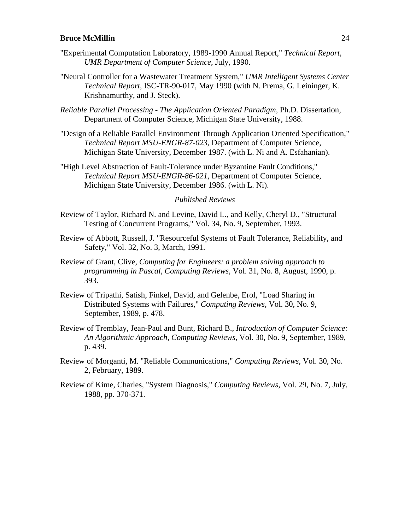- "Experimental Computation Laboratory, 1989-1990 Annual Report," *Technical Report, UMR Department of Computer Science*, July, 1990.
- "Neural Controller for a Wastewater Treatment System," *UMR Intelligent Systems Center Technical Report*, ISC-TR-90-017, May 1990 (with N. Prema, G. Leininger, K. Krishnamurthy, and J. Steck).
- *Reliable Parallel Processing The Application Oriented Paradigm,* Ph.D. Dissertation, Department of Computer Science, Michigan State University, 1988.
- "Design of a Reliable Parallel Environment Through Application Oriented Specification," *Technical Report MSU-ENGR-87-023,* Department of Computer Science, Michigan State University, December 1987. (with L. Ni and A. Esfahanian).
- "High Level Abstraction of Fault-Tolerance under Byzantine Fault Conditions," *Technical Report MSU-ENGR-86-021,* Department of Computer Science, Michigan State University, December 1986. (with L. Ni).

#### *Published Reviews*

- Review of Taylor, Richard N. and Levine, David L., and Kelly, Cheryl D., "Structural Testing of Concurrent Programs," Vol. 34, No. 9, September, 1993.
- Review of Abbott, Russell, J. "Resourceful Systems of Fault Tolerance, Reliability, and Safety," Vol. 32, No. 3, March, 1991.
- Review of Grant, Clive, *Computing for Engineers: a problem solving approach to programming in Pascal, Computing Reviews,* Vol. 31, No. 8, August, 1990, p. 393.
- Review of Tripathi, Satish, Finkel, David, and Gelenbe, Erol, "Load Sharing in Distributed Systems with Failures," *Computing Reviews,* Vol. 30, No. 9, September, 1989, p. 478.
- Review of Tremblay, Jean-Paul and Bunt, Richard B., *Introduction of Computer Science: An Algorithmic Approach*, *Computing Reviews,* Vol. 30, No. 9, September, 1989, p. 439.
- Review of Morganti, M. "Reliable Communications," *Computing Reviews,* Vol. 30, No. 2, February, 1989.
- Review of Kime, Charles, "System Diagnosis," *Computing Reviews,* Vol. 29, No. 7, July, 1988, pp. 370-371.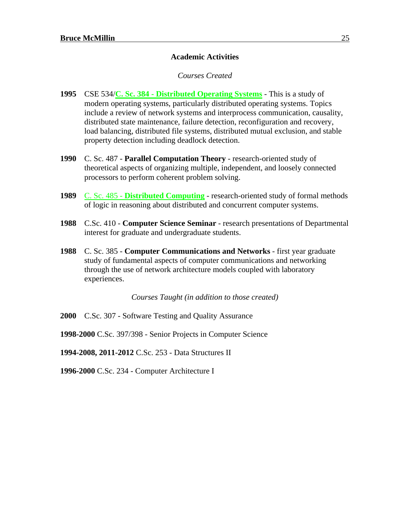#### **Academic Activities**

#### *Courses Created*

- **1995** CSE 534/**C. Sc. 384 Distributed Operating Systems** This is a study of modern operating systems, particularly distributed operating systems. Topics include a review of network systems and interprocess communication, causality, distributed state maintenance, failure detection, reconfiguration and recovery, load balancing, distributed file systems, distributed mutual exclusion, and stable property detection including deadlock detection.
- **1990** C. Sc. 487 **Parallel Computation Theory** research-oriented study of theoretical aspects of organizing multiple, independent, and loosely connected processors to perform coherent problem solving.
- **1989** C. Sc. 485 **Distributed Computing** research-oriented study of formal methods of logic in reasoning about distributed and concurrent computer systems.
- **1988** C.Sc. 410 **Computer Science Seminar** research presentations of Departmental interest for graduate and undergraduate students.
- **1988** C. Sc. 385 **Computer Communications and Networks** first year graduate study of fundamental aspects of computer communications and networking through the use of network architecture models coupled with laboratory experiences.

*Courses Taught (in addition to those created)*

- **2000** C.Sc. 307 Software Testing and Quality Assurance
- **1998-2000** C.Sc. 397/398 Senior Projects in Computer Science

**1994-2008, 2011-2012** C.Sc. 253 - Data Structures II

**1996-2000** C.Sc. 234 - Computer Architecture I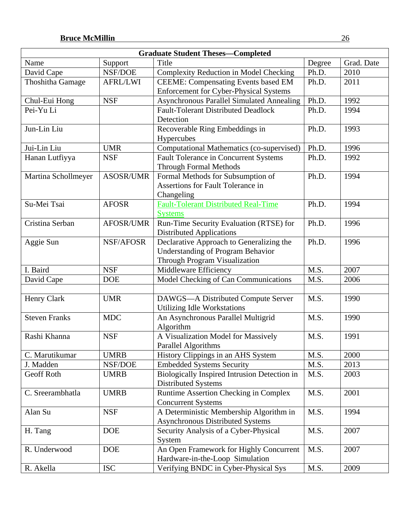|                      |                  | <b>Graduate Student Theses—Completed</b>     |        |            |
|----------------------|------------------|----------------------------------------------|--------|------------|
| Name                 | Support          | Title                                        | Degree | Grad. Date |
| David Cape           | NSF/DOE          | Complexity Reduction in Model Checking       | Ph.D.  | 2010       |
| Thoshitha Gamage     | <b>AFRL/LWI</b>  | <b>CEEME:</b> Compensating Events based EM   | Ph.D.  | 2011       |
|                      |                  | Enforcement for Cyber-Physical Systems       |        |            |
| Chul-Eui Hong        | <b>NSF</b>       | Asynchronous Parallel Simulated Annealing    | Ph.D.  | 1992       |
| Pei-Yu Li            |                  | <b>Fault-Tolerant Distributed Deadlock</b>   | Ph.D.  | 1994       |
|                      |                  | Detection                                    |        |            |
| Jun-Lin Liu          |                  | Recoverable Ring Embeddings in               | Ph.D.  | 1993       |
|                      |                  | Hypercubes                                   |        |            |
| Jui-Lin Liu          | <b>UMR</b>       | Computational Mathematics (co-supervised)    | Ph.D.  | 1996       |
| Hanan Lutfiyya       | <b>NSF</b>       | <b>Fault Tolerance in Concurrent Systems</b> | Ph.D.  | 1992       |
|                      |                  | <b>Through Formal Methods</b>                |        |            |
| Martina Schollmeyer  | <b>ASOSR/UMR</b> | Formal Methods for Subsumption of            | Ph.D.  | 1994       |
|                      |                  | Assertions for Fault Tolerance in            |        |            |
|                      |                  | Changeling                                   |        |            |
| Su-Mei Tsai          | <b>AFOSR</b>     | <b>Fault-Tolerant Distributed Real-Time</b>  | Ph.D.  | 1994       |
|                      |                  | <b>Systems</b>                               |        |            |
| Cristina Serban      | <b>AFOSR/UMR</b> | Run-Time Security Evaluation (RTSE) for      | Ph.D.  | 1996       |
|                      |                  | <b>Distributed Applications</b>              |        |            |
| Aggie Sun            | NSF/AFOSR        | Declarative Approach to Generalizing the     | Ph.D.  | 1996       |
|                      |                  | <b>Understanding of Program Behavior</b>     |        |            |
|                      |                  | Through Program Visualization                |        |            |
| I. Baird             | <b>NSF</b>       | Middleware Efficiency                        | M.S.   | 2007       |
| David Cape           | <b>DOE</b>       | Model Checking of Can Communications         | M.S.   | 2006       |
|                      |                  |                                              |        |            |
| Henry Clark          | <b>UMR</b>       | DAWGS-A Distributed Compute Server           | M.S.   | 1990       |
|                      |                  | Utilizing Idle Workstations                  |        |            |
| <b>Steven Franks</b> | <b>MDC</b>       | An Asynchronous Parallel Multigrid           | M.S.   | 1990       |
|                      |                  | Algorithm                                    |        |            |
| Rashi Khanna         | <b>NSF</b>       | A Visualization Model for Massively          | M.S.   | 1991       |
|                      |                  | <b>Parallel Algorithms</b>                   |        |            |
| C. Marutikumar       | <b>UMRB</b>      | History Clippings in an AHS System           | M.S.   | 2000       |
| J. Madden            | NSF/DOE          | <b>Embedded Systems Security</b>             | M.S.   | 2013       |
| <b>Geoff Roth</b>    | <b>UMRB</b>      | Biologically Inspired Intrusion Detection in | M.S.   | 2003       |
|                      |                  | <b>Distributed Systems</b>                   |        |            |
| C. Sreerambhatla     | <b>UMRB</b>      | Runtime Assertion Checking in Complex        | M.S.   | 2001       |
|                      |                  | <b>Concurrent Systems</b>                    |        |            |
| Alan Su              | <b>NSF</b>       | A Deterministic Membership Algorithm in      | M.S.   | 1994       |
|                      |                  | <b>Asynchronous Distributed Systems</b>      |        |            |
| H. Tang              | <b>DOE</b>       | Security Analysis of a Cyber-Physical        | M.S.   | 2007       |
|                      |                  | System                                       |        |            |
| R. Underwood         | <b>DOE</b>       | An Open Framework for Highly Concurrent      | M.S.   | 2007       |
|                      |                  | Hardware-in-the-Loop Simulation              |        |            |
| R. Akella            | <b>ISC</b>       | Verifying BNDC in Cyber-Physical Sys         | M.S.   | 2009       |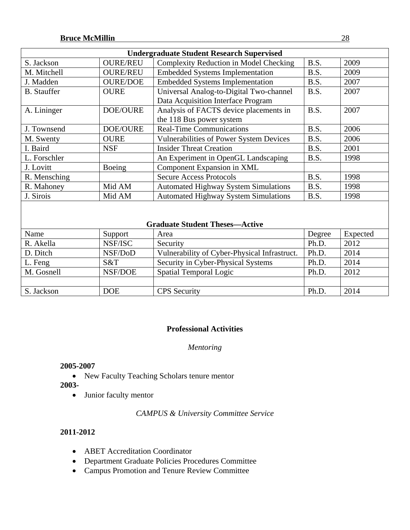|                    |                 | <b>Undergraduate Student Research Supervised</b> |        |          |
|--------------------|-----------------|--------------------------------------------------|--------|----------|
| S. Jackson         | <b>OURE/REU</b> | <b>Complexity Reduction in Model Checking</b>    | B.S.   | 2009     |
| M. Mitchell        | <b>OURE/REU</b> | <b>Embedded Systems Implementation</b>           | B.S.   | 2009     |
| J. Madden          | <b>OURE/DOE</b> | <b>Embedded Systems Implementation</b>           | B.S.   | 2007     |
| <b>B.</b> Stauffer | <b>OURE</b>     | Universal Analog-to-Digital Two-channel          | B.S.   | 2007     |
|                    |                 | Data Acquisition Interface Program               |        |          |
| A. Lininger        | <b>DOE/OURE</b> | Analysis of FACTS device placements in           | B.S.   | 2007     |
|                    |                 | the 118 Bus power system                         |        |          |
| J. Townsend        | <b>DOE/OURE</b> | <b>Real-Time Communications</b>                  | B.S.   | 2006     |
| M. Swenty          | <b>OURE</b>     | Vulnerabilities of Power System Devices          | B.S.   | 2006     |
| I. Baird           | <b>NSF</b>      | <b>Insider Threat Creation</b>                   | B.S.   | 2001     |
| L. Forschler       |                 | An Experiment in OpenGL Landscaping              | B.S.   | 1998     |
| J. Lovitt          | Boeing          | Component Expansion in XML                       |        |          |
| R. Mensching       |                 | <b>Secure Access Protocols</b>                   | B.S.   | 1998     |
| R. Mahoney         | Mid AM          | <b>Automated Highway System Simulations</b>      | B.S.   | 1998     |
| J. Sirois          | Mid AM          | <b>Automated Highway System Simulations</b>      | B.S.   | 1998     |
|                    |                 | <b>Graduate Student Theses—Active</b>            |        |          |
| Name               | Support         | Area                                             | Degree | Expected |
| R. Akella          | NSF/ISC         | Security                                         | Ph.D.  | 2012     |
| D. Ditch           | NSF/DoD         | Vulnerability of Cyber-Physical Infrastruct.     | Ph.D.  | 2014     |
| L. Feng            | S&T             | Security in Cyber-Physical Systems               | Ph.D.  | 2014     |
| M. Gosnell         | <b>NSF/DOE</b>  | <b>Spatial Temporal Logic</b>                    | Ph.D.  | 2012     |
|                    |                 |                                                  |        |          |
| S. Jackson         | <b>DOE</b>      | <b>CPS</b> Security                              | Ph.D.  | 2014     |

### **Professional Activities**

#### *Mentoring*

#### **2005-2007**

- New Faculty Teaching Scholars tenure mentor
- **2003-** 
	- Junior faculty mentor

### *CAMPUS & University Committee Service*

- ABET Accreditation Coordinator
- Department Graduate Policies Procedures Committee
- Campus Promotion and Tenure Review Committee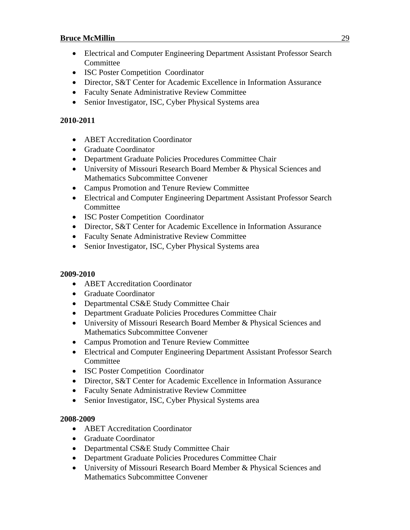- Electrical and Computer Engineering Department Assistant Professor Search Committee
- ISC Poster Competition Coordinator
- Director, S&T Center for Academic Excellence in Information Assurance
- Faculty Senate Administrative Review Committee
- Senior Investigator, ISC, Cyber Physical Systems area

#### **2010-2011**

- ABET Accreditation Coordinator
- Graduate Coordinator
- Department Graduate Policies Procedures Committee Chair
- University of Missouri Research Board Member & Physical Sciences and Mathematics Subcommittee Convener
- Campus Promotion and Tenure Review Committee
- Electrical and Computer Engineering Department Assistant Professor Search Committee
- ISC Poster Competition Coordinator
- Director, S&T Center for Academic Excellence in Information Assurance
- Faculty Senate Administrative Review Committee
- Senior Investigator, ISC, Cyber Physical Systems area

#### **2009-2010**

- ABET Accreditation Coordinator
- Graduate Coordinator
- Departmental CS&E Study Committee Chair
- Department Graduate Policies Procedures Committee Chair
- University of Missouri Research Board Member & Physical Sciences and Mathematics Subcommittee Convener
- Campus Promotion and Tenure Review Committee
- Electrical and Computer Engineering Department Assistant Professor Search Committee
- ISC Poster Competition Coordinator
- Director, S&T Center for Academic Excellence in Information Assurance
- Faculty Senate Administrative Review Committee
- Senior Investigator, ISC, Cyber Physical Systems area

- ABET Accreditation Coordinator
- Graduate Coordinator
- Departmental CS&E Study Committee Chair
- Department Graduate Policies Procedures Committee Chair
- University of Missouri Research Board Member & Physical Sciences and Mathematics Subcommittee Convener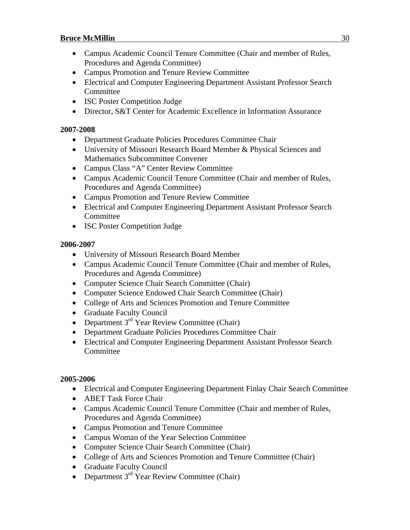- Campus Academic Council Tenure Committee (Chair and member of Rules, Procedures and Agenda Committee)
- Campus Promotion and Tenure Review Committee
- Electrical and Computer Engineering Department Assistant Professor Search Committee
- ISC Poster Competition Judge
- Director, S&T Center for Academic Excellence in Information Assurance

#### **2007-2008**

- Department Graduate Policies Procedures Committee Chair
- University of Missouri Research Board Member & Physical Sciences and Mathematics Subcommittee Convener
- Campus Class "A" Center Review Committee
- Campus Academic Council Tenure Committee (Chair and member of Rules, Procedures and Agenda Committee)
- Campus Promotion and Tenure Review Committee
- Electrical and Computer Engineering Department Assistant Professor Search Committee
- ISC Poster Competition Judge

#### **2006-2007**

- University of Missouri Research Board Member
- Campus Academic Council Tenure Committee (Chair and member of Rules, Procedures and Agenda Committee)
- Computer Science Chair Search Committee (Chair)
- Computer Science Endowed Chair Search Committee (Chair)
- College of Arts and Sciences Promotion and Tenure Committee
- Graduate Faculty Council
- Department  $3^{rd}$  Year Review Committee (Chair)
- Department Graduate Policies Procedures Committee Chair
- Electrical and Computer Engineering Department Assistant Professor Search **Committee**

- Electrical and Computer Engineering Department Finlay Chair Search Committee
- ABET Task Force Chair
- Campus Academic Council Tenure Committee (Chair and member of Rules, Procedures and Agenda Committee)
- Campus Promotion and Tenure Committee
- Campus Woman of the Year Selection Committee
- Computer Science Chair Search Committee (Chair)
- College of Arts and Sciences Promotion and Tenure Committee (Chair)
- Graduate Faculty Council
- Department  $3<sup>rd</sup>$  Year Review Committee (Chair)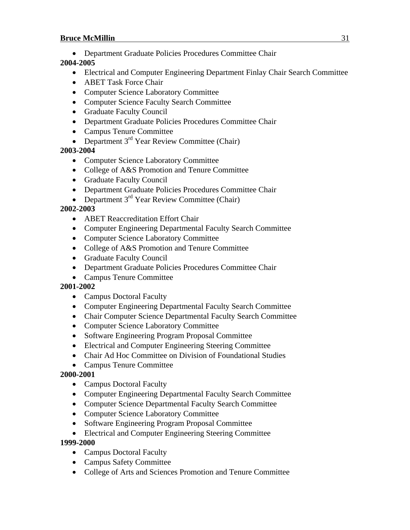Department Graduate Policies Procedures Committee Chair

### **2004-2005**

- Electrical and Computer Engineering Department Finlay Chair Search Committee
- ABET Task Force Chair
- Computer Science Laboratory Committee
- Computer Science Faculty Search Committee
- Graduate Faculty Council
- Department Graduate Policies Procedures Committee Chair
- Campus Tenure Committee
- Department  $3^{rd}$  Year Review Committee (Chair)

### **2003-2004**

- Computer Science Laboratory Committee
- College of A&S Promotion and Tenure Committee
- Graduate Faculty Council
- Department Graduate Policies Procedures Committee Chair
- Department  $3<sup>rd</sup>$  Year Review Committee (Chair)

### **2002-2003**

- ABET Reaccreditation Effort Chair
- Computer Engineering Departmental Faculty Search Committee
- Computer Science Laboratory Committee
- College of A&S Promotion and Tenure Committee
- Graduate Faculty Council
- Department Graduate Policies Procedures Committee Chair
- Campus Tenure Committee

### **2001-2002**

- Campus Doctoral Faculty
- Computer Engineering Departmental Faculty Search Committee
- Chair Computer Science Departmental Faculty Search Committee
- Computer Science Laboratory Committee
- Software Engineering Program Proposal Committee
- Electrical and Computer Engineering Steering Committee
- Chair Ad Hoc Committee on Division of Foundational Studies
- Campus Tenure Committee

### **2000-2001**

- Campus Doctoral Faculty
- Computer Engineering Departmental Faculty Search Committee
- Computer Science Departmental Faculty Search Committee
- Computer Science Laboratory Committee
- Software Engineering Program Proposal Committee
- Electrical and Computer Engineering Steering Committee

- Campus Doctoral Faculty
- Campus Safety Committee
- College of Arts and Sciences Promotion and Tenure Committee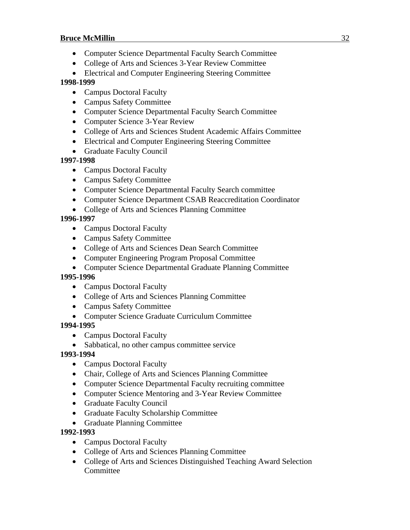- Computer Science Departmental Faculty Search Committee
- College of Arts and Sciences 3-Year Review Committee
- Electrical and Computer Engineering Steering Committee

#### **1998-1999**

- Campus Doctoral Faculty
- Campus Safety Committee
- Computer Science Departmental Faculty Search Committee
- Computer Science 3-Year Review
- College of Arts and Sciences Student Academic Affairs Committee
- Electrical and Computer Engineering Steering Committee
- Graduate Faculty Council

### **1997-1998**

- Campus Doctoral Faculty
- Campus Safety Committee
- Computer Science Departmental Faculty Search committee
- Computer Science Department CSAB Reaccreditation Coordinator
- College of Arts and Sciences Planning Committee

### **1996-1997**

- Campus Doctoral Faculty
- Campus Safety Committee
- College of Arts and Sciences Dean Search Committee
- Computer Engineering Program Proposal Committee
- Computer Science Departmental Graduate Planning Committee

### **1995-1996**

- Campus Doctoral Faculty
- College of Arts and Sciences Planning Committee
- Campus Safety Committee
- Computer Science Graduate Curriculum Committee

### **1994-1995**

- Campus Doctoral Faculty
- Sabbatical, no other campus committee service

### **1993-1994**

- Campus Doctoral Faculty
- Chair, College of Arts and Sciences Planning Committee
- Computer Science Departmental Faculty recruiting committee
- Computer Science Mentoring and 3-Year Review Committee
- Graduate Faculty Council
- Graduate Faculty Scholarship Committee
- Graduate Planning Committee

- Campus Doctoral Faculty
- College of Arts and Sciences Planning Committee
- College of Arts and Sciences Distinguished Teaching Award Selection **Committee**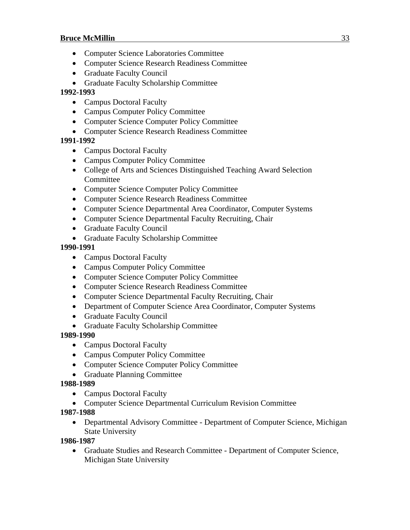- Computer Science Laboratories Committee
- Computer Science Research Readiness Committee
- Graduate Faculty Council
- Graduate Faculty Scholarship Committee

#### **1992-1993**

- Campus Doctoral Faculty
- Campus Computer Policy Committee
- Computer Science Computer Policy Committee
- Computer Science Research Readiness Committee

### **1991-1992**

- Campus Doctoral Faculty
- Campus Computer Policy Committee
- College of Arts and Sciences Distinguished Teaching Award Selection Committee
- Computer Science Computer Policy Committee
- Computer Science Research Readiness Committee
- Computer Science Departmental Area Coordinator, Computer Systems
- Computer Science Departmental Faculty Recruiting, Chair
- Graduate Faculty Council
- Graduate Faculty Scholarship Committee

#### **1990-1991**

- Campus Doctoral Faculty
- Campus Computer Policy Committee
- Computer Science Computer Policy Committee
- Computer Science Research Readiness Committee
- Computer Science Departmental Faculty Recruiting, Chair
- Department of Computer Science Area Coordinator, Computer Systems
- Graduate Faculty Council
- Graduate Faculty Scholarship Committee

#### **1989-1990**

- Campus Doctoral Faculty
- Campus Computer Policy Committee
- Computer Science Computer Policy Committee
- Graduate Planning Committee

#### **1988-1989**

- Campus Doctoral Faculty
- Computer Science Departmental Curriculum Revision Committee
- **1987-1988**
	- Departmental Advisory Committee Department of Computer Science, Michigan State University

#### **1986-1987**

 Graduate Studies and Research Committee - Department of Computer Science, Michigan State University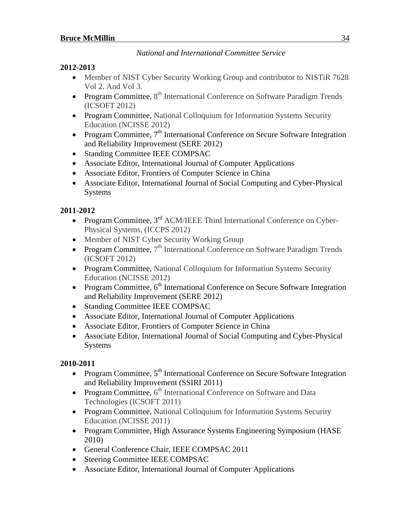*National and International Committee Service*

### **2012-2013**

- Member of NIST Cyber Security Working Group and contributor to NISTiR 7628 Vol 2. And Vol 3.
- Program Committee,  $8<sup>th</sup>$  International Conference on Software Paradigm Trends (ICSOFT 2012)
- Program Committee, National Colloquium for Information Systems Security Education (NCISSE 2012)
- Program Committee,  $7<sup>th</sup>$  International Conference on Secure Software Integration and Reliability Improvement (SERE 2012)
- Standing Committee IEEE COMPSAC
- Associate Editor, International Journal of Computer Applications
- Associate Editor, Frontiers of Computer Science in China
- Associate Editor, International Journal of Social Computing and Cyber-Physical Systems

### **2011-2012**

- Program Committee, 3<sup>rd</sup> ACM/IEEE Third International Conference on Cyber-Physical Systems, (ICCPS 2012)
- Member of NIST Cyber Security Working Group
- Program Committee,  $7<sup>th</sup>$  International Conference on Software Paradigm Trends (ICSOFT 2012)
- Program Committee, National Colloquium for Information Systems Security Education (NCISSE 2012)
- Program Committee,  $6<sup>th</sup>$  International Conference on Secure Software Integration and Reliability Improvement (SERE 2012)
- Standing Committee IEEE COMPSAC
- Associate Editor, International Journal of Computer Applications
- Associate Editor, Frontiers of Computer Science in China
- Associate Editor, International Journal of Social Computing and Cyber-Physical Systems

- Program Committee,  $5<sup>th</sup>$  International Conference on Secure Software Integration and Reliability Improvement (SSIRI 2011)
- Program Committee,  $6<sup>th</sup>$  International Conference on Software and Data Technologies (ICSOFT 2011)
- Program Committee, National Colloquium for Information Systems Security Education (NCISSE 2011)
- Program Committee, High Assurance Systems Engineering Symposium (HASE 2010)
- General Conference Chair, IEEE COMPSAC 2011
- Steering Committee IEEE COMPSAC
- Associate Editor, International Journal of Computer Applications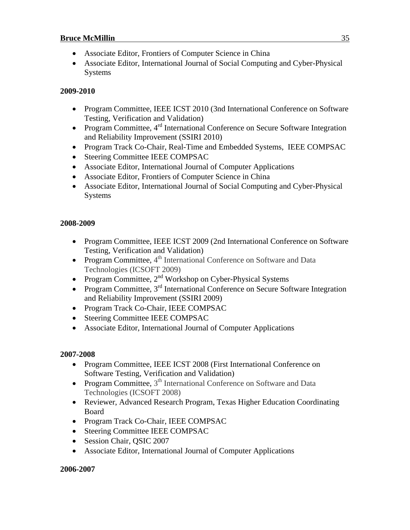- Associate Editor, Frontiers of Computer Science in China
- Associate Editor, International Journal of Social Computing and Cyber-Physical Systems

#### **2009-2010**

- Program Committee, IEEE ICST 2010 (3nd International Conference on Software Testing, Verification and Validation)
- Program Committee,  $4^{rd}$  International Conference on Secure Software Integration and Reliability Improvement (SSIRI 2010)
- Program Track Co-Chair, Real-Time and Embedded Systems, IEEE COMPSAC
- Steering Committee IEEE COMPSAC
- Associate Editor, International Journal of Computer Applications
- Associate Editor, Frontiers of Computer Science in China
- Associate Editor, International Journal of Social Computing and Cyber-Physical Systems

#### **2008-2009**

- Program Committee, IEEE ICST 2009 (2nd International Conference on Software Testing, Verification and Validation)
- Program Committee,  $4<sup>th</sup>$  International Conference on Software and Data Technologies (ICSOFT 2009)
- Program Committee,  $2<sup>nd</sup>$  Workshop on Cyber-Physical Systems
- Program Committee,  $3^{rd}$  International Conference on Secure Software Integration and Reliability Improvement (SSIRI 2009)
- Program Track Co-Chair, IEEE COMPSAC
- Steering Committee IEEE COMPSAC
- Associate Editor, International Journal of Computer Applications

#### **2007-2008**

- Program Committee, IEEE ICST 2008 (First International Conference on Software Testing, Verification and Validation)
- Program Committee,  $3<sup>th</sup>$  International Conference on Software and Data Technologies (ICSOFT 2008)
- Reviewer, Advanced Research Program, Texas Higher Education Coordinating Board
- Program Track Co-Chair, IEEE COMPSAC
- Steering Committee IEEE COMPSAC
- Session Chair, QSIC 2007
- Associate Editor, International Journal of Computer Applications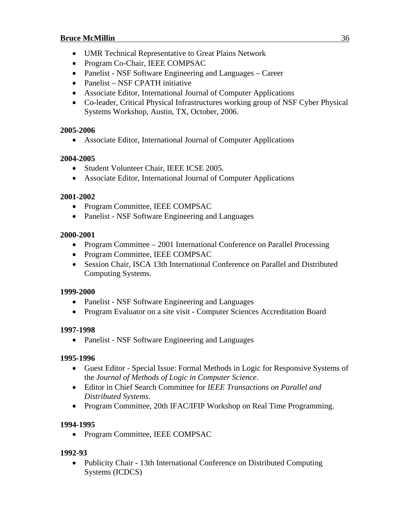- UMR Technical Representative to Great Plains Network
- Program Co-Chair, IEEE COMPSAC
- Panelist NSF Software Engineering and Languages Career
- Panelist NSF CPATH initiative
- Associate Editor, International Journal of Computer Applications
- Co-leader, Critical Physical Infrastructures working group of NSF Cyber Physical Systems Workshop, Austin, TX, October, 2006.

### **2005-2006**

Associate Editor, International Journal of Computer Applications

### **2004-2005**

- Student Volunteer Chair, IEEE ICSE 2005.
- Associate Editor, International Journal of Computer Applications

### **2001-2002**

- Program Committee, IEEE COMPSAC
- Panelist NSF Software Engineering and Languages

### **2000-2001**

- Program Committee 2001 International Conference on Parallel Processing
- Program Committee, IEEE COMPSAC
- Session Chair, ISCA 13th International Conference on Parallel and Distributed Computing Systems.

### **1999-2000**

- Panelist NSF Software Engineering and Languages
- Program Evaluator on a site visit Computer Sciences Accreditation Board

### **1997-1998**

• Panelist - NSF Software Engineering and Languages

### **1995-1996**

- Guest Editor Special Issue: Formal Methods in Logic for Responsive Systems of the *Journal of Methods of Logic in Computer Science*.
- Editor in Chief Search Committee for *IEEE Transactions on Parallel and Distributed Systems*.
- Program Committee, 20th IFAC/IFIP Workshop on Real Time Programming.

### **1994-1995**

• Program Committee, IEEE COMPSAC

### **1992-93**

• Publicity Chair - 13th International Conference on Distributed Computing Systems (ICDCS)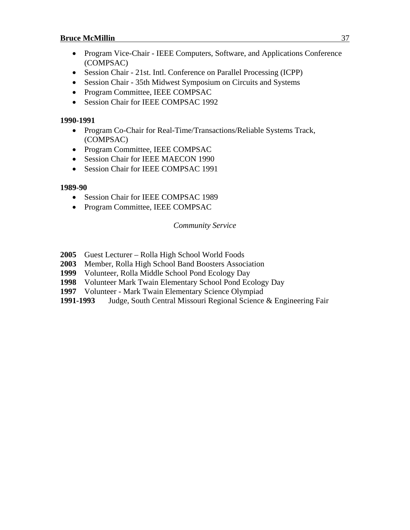- Program Vice-Chair IEEE Computers, Software, and Applications Conference (COMPSAC)
- Session Chair 21st. Intl. Conference on Parallel Processing (ICPP)
- Session Chair 35th Midwest Symposium on Circuits and Systems
- Program Committee, IEEE COMPSAC
- Session Chair for IEEE COMPSAC 1992

#### **1990-1991**

- Program Co-Chair for Real-Time/Transactions/Reliable Systems Track, (COMPSAC)
- Program Committee, IEEE COMPSAC
- Session Chair for IEEE MAECON 1990
- Session Chair for IEEE COMPSAC 1991

#### **1989-90**

- Session Chair for IEEE COMPSAC 1989
- Program Committee, IEEE COMPSAC

#### *Community Service*

- **2005** Guest Lecturer Rolla High School World Foods
- **2003** Member, Rolla High School Band Boosters Association
- **1999** Volunteer, Rolla Middle School Pond Ecology Day
- **1998** Volunteer Mark Twain Elementary School Pond Ecology Day
- **1997** Volunteer Mark Twain Elementary Science Olympiad
- **1991-1993** Judge, South Central Missouri Regional Science & Engineering Fair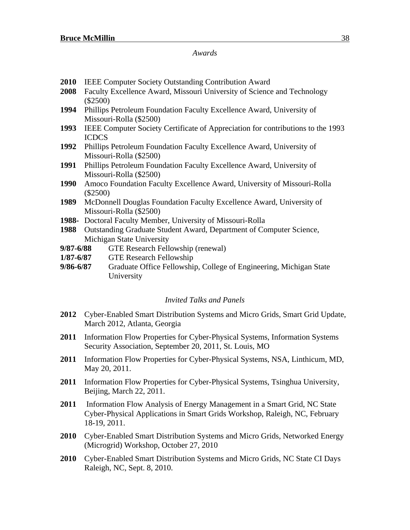#### *Awards*

- **2010** IEEE Computer Society Outstanding Contribution Award
- **2008** Faculty Excellence Award, Missouri University of Science and Technology (\$2500)
- **1994** Phillips Petroleum Foundation Faculty Excellence Award, University of Missouri-Rolla (\$2500)
- **1993** IEEE Computer Society Certificate of Appreciation for contributions to the 1993 ICDCS
- **1992** Phillips Petroleum Foundation Faculty Excellence Award, University of Missouri-Rolla (\$2500)
- **1991** Phillips Petroleum Foundation Faculty Excellence Award, University of Missouri-Rolla (\$2500)
- **1990** Amoco Foundation Faculty Excellence Award, University of Missouri-Rolla (\$2500)
- **1989** McDonnell Douglas Foundation Faculty Excellence Award, University of Missouri-Rolla (\$2500)
- **1988-** Doctoral Faculty Member, University of Missouri-Rolla
- **1988** Outstanding Graduate Student Award, Department of Computer Science, Michigan State University
- **9/87-6/88** GTE Research Fellowship (renewal)
- **1/87-6/87** GTE Research Fellowship
- **9/86-6/87** Graduate Office Fellowship, College of Engineering, Michigan State University

#### *Invited Talks and Panels*

- **2012** Cyber-Enabled Smart Distribution Systems and Micro Grids, Smart Grid Update, March 2012, Atlanta, Georgia
- **2011** Information Flow Properties for Cyber-Physical Systems, Information Systems Security Association, September 20, 2011, St. Louis, MO
- **2011** Information Flow Properties for Cyber-Physical Systems, NSA, Linthicum, MD, May 20, 2011.
- **2011** Information Flow Properties for Cyber-Physical Systems, Tsinghua University, Beijing, March 22, 2011.
- **2011** Information Flow Analysis of Energy Management in a Smart Grid, NC State Cyber-Physical Applications in Smart Grids Workshop, Raleigh, NC, February 18-19, 2011.
- **2010** Cyber-Enabled Smart Distribution Systems and Micro Grids, Networked Energy (Microgrid) Workshop, October 27, 2010
- **2010** Cyber-Enabled Smart Distribution Systems and Micro Grids, NC State CI Days Raleigh, NC, Sept. 8, 2010.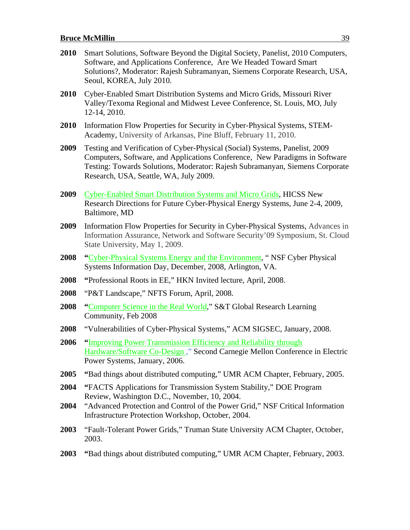| 2010 | Smart Solutions, Software Beyond the Digital Society, Panelist, 2010 Computers,<br>Software, and Applications Conference, Are We Headed Toward Smart<br>Solutions?, Moderator: Rajesh Subramanyan, Siemens Corporate Research, USA,<br>Seoul, KOREA, July 2010.                      |
|------|--------------------------------------------------------------------------------------------------------------------------------------------------------------------------------------------------------------------------------------------------------------------------------------|
| 2010 | Cyber-Enabled Smart Distribution Systems and Micro Grids, Missouri River<br>Valley/Texoma Regional and Midwest Levee Conference, St. Louis, MO, July<br>12-14, 2010.                                                                                                                 |
| 2010 | Information Flow Properties for Security in Cyber-Physical Systems, STEM-<br>Academy, University of Arkansas, Pine Bluff, February 11, 2010.                                                                                                                                         |
| 2009 | Testing and Verification of Cyber-Physical (Social) Systems, Panelist, 2009<br>Computers, Software, and Applications Conference, New Paradigms in Software<br>Testing: Towards Solutions, Moderator: Rajesh Subramanyan, Siemens Corporate<br>Research, USA, Seattle, WA, July 2009. |
| 2009 | Cyber-Enabled Smart Distribution Systems and Micro Grids, HICSS New<br>Research Directions for Future Cyber-Physical Energy Systems, June 2-4, 2009,<br>Baltimore, MD                                                                                                                |
| 2009 | Information Flow Properties for Security in Cyber-Physical Systems, Advances in<br>Information Assurance, Network and Software Security'09 Symposium, St. Cloud<br>State University, May 1, 2009.                                                                                    |
| 2008 | "Cyber-Physical Systems Energy and the Environment, "NSF Cyber Physical<br>Systems Information Day, December, 2008, Arlington, VA.                                                                                                                                                   |
| 2008 | "Professional Roots in EE," HKN Invited lecture, April, 2008.                                                                                                                                                                                                                        |
| 2008 | "P&T Landscape," NFTS Forum, April, 2008.                                                                                                                                                                                                                                            |
| 2008 | "Computer Science in the Real World," S&T Global Research Learning<br>Community, Feb 2008                                                                                                                                                                                            |
| 2008 | "Vulnerabilities of Cyber-Physical Systems," ACM SIGSEC, January, 2008.                                                                                                                                                                                                              |
| 2006 | "Improving Power Transmission Efficiency and Reliability through<br>Hardware/Software Co-Design," Second Carnegie Mellon Conference in Electric<br>Power Systems, January, 2006.                                                                                                     |
| 2005 | "Bad things about distributed computing," UMR ACM Chapter, February, 2005.                                                                                                                                                                                                           |
| 2004 | "FACTS Applications for Transmission System Stability," DOE Program                                                                                                                                                                                                                  |
| 2004 | Review, Washington D.C., November, 10, 2004.<br>"Advanced Protection and Control of the Power Grid," NSF Critical Information<br>Infrastructure Protection Workshop, October, 2004.                                                                                                  |
| 2003 | "Fault-Tolerant Power Grids," Truman State University ACM Chapter, October,<br>2003.                                                                                                                                                                                                 |
| 2003 | "Bad things about distributed computing," UMR ACM Chapter, February, 2003.                                                                                                                                                                                                           |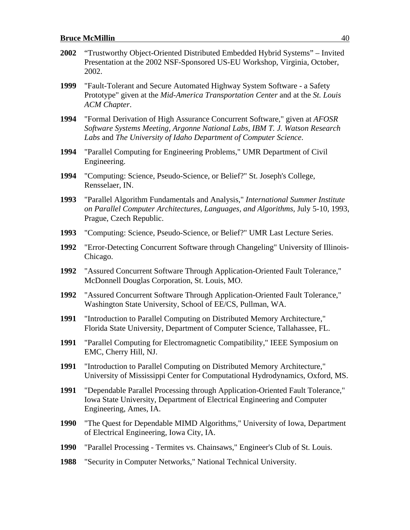- **2002** "Trustworthy Object-Oriented Distributed Embedded Hybrid Systems" Invited Presentation at the 2002 NSF-Sponsored US-EU Workshop, Virginia, October, 2002.
- **1999** "Fault-Tolerant and Secure Automated Highway System Software a Safety Prototype" given at the *Mid-America Transportation Center* and at the *St. Louis ACM Chapter*.
- **1994** "Formal Derivation of High Assurance Concurrent Software," given at *AFOSR Software Systems Meeting, Argonne National Labs, IBM T. J. Watson Research Labs* and *The University of Idaho Department of Computer Science*.
- **1994** "Parallel Computing for Engineering Problems," UMR Department of Civil Engineering.
- **1994** "Computing: Science, Pseudo-Science, or Belief?" St. Joseph's College, Rensselaer, IN.
- **1993** "Parallel Algorithm Fundamentals and Analysis," *International Summer Institute on Parallel Computer Architectures, Languages, and Algorithms,* July 5-10, 1993, Prague, Czech Republic.
- **1993** "Computing: Science, Pseudo-Science, or Belief?" UMR Last Lecture Series.
- **1992** "Error-Detecting Concurrent Software through Changeling" University of Illinois-Chicago.
- **1992** "Assured Concurrent Software Through Application-Oriented Fault Tolerance," McDonnell Douglas Corporation, St. Louis, MO.
- **1992** "Assured Concurrent Software Through Application-Oriented Fault Tolerance," Washington State University, School of EE/CS, Pullman, WA.
- **1991** "Introduction to Parallel Computing on Distributed Memory Architecture," Florida State University, Department of Computer Science, Tallahassee, FL.
- **1991** "Parallel Computing for Electromagnetic Compatibility," IEEE Symposium on EMC, Cherry Hill, NJ.
- **1991** "Introduction to Parallel Computing on Distributed Memory Architecture," University of Mississippi Center for Computational Hydrodynamics, Oxford, MS.
- **1991** "Dependable Parallel Processing through Application-Oriented Fault Tolerance," Iowa State University, Department of Electrical Engineering and Computer Engineering, Ames, IA.
- **1990** "The Quest for Dependable MIMD Algorithms," University of Iowa, Department of Electrical Engineering, Iowa City, IA.
- **1990** "Parallel Processing Termites vs. Chainsaws," Engineer's Club of St. Louis.
- **1988** "Security in Computer Networks," National Technical University.